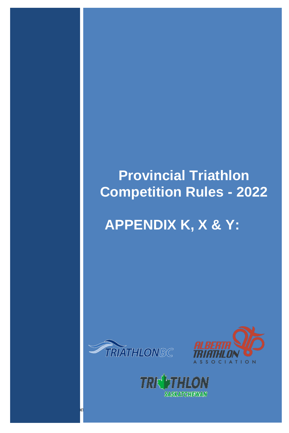### **Provincial Triathlon Competition Rules - 2022**

## **APPENDIX K, X & Y:**



2022 Provincial Triathlon Rules 1992 Provincial Triathlon Rules 1992 Provincial Triathlon Rules 1992 Provincia



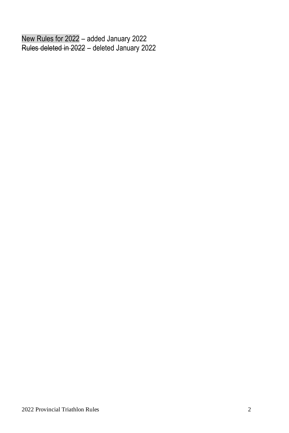New Rules for 2022 – added January 2022 Rules deleted in 2022 – deleted January 2022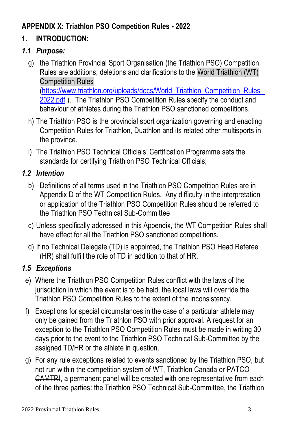#### **APPENDIX X: Triathlon PSO Competition Rules - 2022**

#### **1. INTRODUCTION:**

#### *1.1 Purpose:*

- g) the Triathlon Provincial Sport Organisation (the Triathlon PSO) Competition Rules are additions, deletions and clarifications to the World Triathlon (WT) Competition Rules [\(https://www.triathlon.org/uploads/docs/World\\_Triathlon\\_Competition\\_Rules\\_](https://www.triathlon.org/uploads/docs/World_Triathlon_Competition_Rules_2022.pdf) [2022.pdf](https://www.triathlon.org/uploads/docs/World_Triathlon_Competition_Rules_2022.pdf) ). The Triathlon PSO Competition Rules specify the conduct and behaviour of athletes during the Triathlon PSO sanctioned competitions.
- h) The Triathlon PSO is the provincial sport organization governing and enacting Competition Rules for Triathlon, Duathlon and its related other multisports in the province.
- i) The Triathlon PSO Technical Officials' Certification Programme sets the standards for certifying Triathlon PSO Technical Officials;

#### *1.2 Intention*

- b) Definitions of all terms used in the Triathlon PSO Competition Rules are in Appendix D of the WT Competition Rules. Any difficulty in the interpretation or application of the Triathlon PSO Competition Rules should be referred to the Triathlon PSO Technical Sub-Committee
- c) Unless specifically addressed in this Appendix, the WT Competition Rules shall have effect for all the Triathlon PSO sanctioned competitions.
- d) If no Technical Delegate (TD) is appointed, the Triathlon PSO Head Referee (HR) shall fulfill the role of TD in addition to that of HR.

#### *1.5 Exceptions*

- e) Where the Triathlon PSO Competition Rules conflict with the laws of the jurisdiction in which the event is to be held, the local laws will override the Triathlon PSO Competition Rules to the extent of the inconsistency.
- f) Exceptions for special circumstances in the case of a particular athlete may only be gained from the Triathlon PSO with prior approval. A request for an exception to the Triathlon PSO Competition Rules must be made in writing 30 days prior to the event to the Triathlon PSO Technical Sub-Committee by the assigned TD/HR or the athlete in question.
- g) For any rule exceptions related to events sanctioned by the Triathlon PSO, but not run within the competition system of WT, Triathlon Canada or PATCO CAMTRI, a permanent panel will be created with one representative from each of the three parties: the Triathlon PSO Technical Sub-Committee, the Triathlon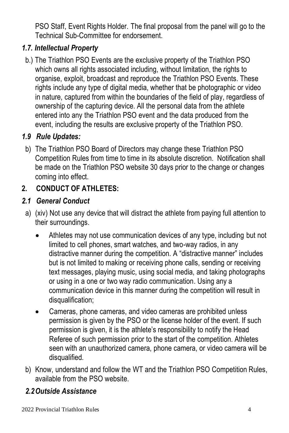PSO Staff, Event Rights Holder. The final proposal from the panel will go to the Technical Sub-Committee for endorsement.

#### *1.7. Intellectual Property*

b.) The Triathlon PSO Events are the exclusive property of the Triathlon PSO which owns all rights associated including, without limitation, the rights to organise, exploit, broadcast and reproduce the Triathlon PSO Events. These rights include any type of digital media, whether that be photographic or video in nature, captured from within the boundaries of the field of play, regardless of ownership of the capturing device. All the personal data from the athlete entered into any the Triathlon PSO event and the data produced from the event, including the results are exclusive property of the Triathlon PSO.

#### *1.9 Rule Updates:*

b) The Triathlon PSO Board of Directors may change these Triathlon PSO Competition Rules from time to time in its absolute discretion. Notification shall be made on the Triathlon PSO website 30 days prior to the change or changes coming into effect.

#### **2. CONDUCT OF ATHLETES:**

#### *2.1 General Conduct*

- a) (xiv) Not use any device that will distract the athlete from paying full attention to their surroundings.
	- Athletes may not use communication devices of any type, including but not limited to cell phones, smart watches, and two-way radios, in any distractive manner during the competition. A "distractive manner" includes but is not limited to making or receiving phone calls, sending or receiving text messages, playing music, using social media, and taking photographs or using in a one or two way radio communication. Using any a communication device in this manner during the competition will result in disqualification:
	- Cameras, phone cameras, and video cameras are prohibited unless permission is given by the PSO or the license holder of the event. If such permission is given, it is the athlete's responsibility to notify the Head Referee of such permission prior to the start of the competition. Athletes seen with an unauthorized camera, phone camera, or video camera will be disqualified.
- b) Know, understand and follow the WT and the Triathlon PSO Competition Rules, available from the PSO website.

#### *2.2Outside Assistance*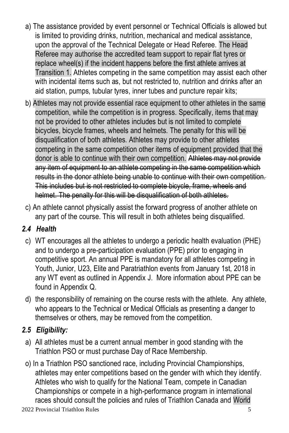- a) The assistance provided by event personnel or Technical Officials is allowed but is limited to providing drinks, nutrition, mechanical and medical assistance, upon the approval of the Technical Delegate or Head Referee. The Head Referee may authorise the accredited team support to repair flat tyres or replace wheel(s) if the incident happens before the first athlete arrives at Transition 1. Athletes competing in the same competition may assist each other with incidental items such as, but not restricted to, nutrition and drinks after an aid station, pumps, tubular tyres, inner tubes and puncture repair kits;
- b) Athletes may not provide essential race equipment to other athletes in the same competition, while the competition is in progress. Specifically, items that may not be provided to other athletes includes but is not limited to complete bicycles, bicycle frames, wheels and helmets. The penalty for this will be disqualification of both athletes. Athletes may provide to other athletes competing in the same competition other items of equipment provided that the donor is able to continue with their own competition. Athletes may not provide any item of equipment to an athlete competing in the same competition which results in the donor athlete being unable to continue with their own competition. This includes but is not restricted to complete bicycle, frame, wheels and helmet. The penalty for this will be disqualification of both athletes.
- c) An athlete cannot physically assist the forward progress of another athlete on any part of the course. This will result in both athletes being disqualified.

#### *2.4 Health*

- c) WT encourages all the athletes to undergo a periodic health evaluation (PHE) and to undergo a pre-participation evaluation (PPE) prior to engaging in competitive sport. An annual PPE is mandatory for all athletes competing in Youth, Junior, U23, Elite and Paratriathlon events from January 1st, 2018 in any WT event as outlined in Appendix J. More information about PPE can be found in Appendix Q.
- d) the responsibility of remaining on the course rests with the athlete. Any athlete, who appears to the Technical or Medical Officials as presenting a danger to themselves or others, may be removed from the competition.

#### *2.5 Eligibility:*

- a) All athletes must be a current annual member in good standing with the Triathlon PSO or must purchase Day of Race Membership.
- o) In a Triathlon PSO sanctioned race, including Provincial Championships, athletes may enter competitions based on the gender with which they identify. Athletes who wish to qualify for the National Team, compete in Canadian Championships or compete in a high-performance program in international races should consult the policies and rules of Triathlon Canada and World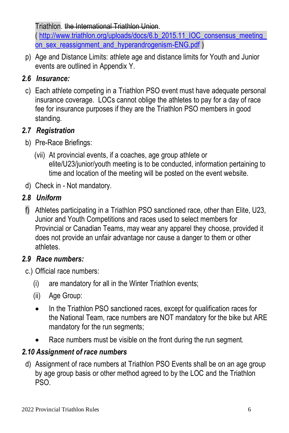Triathlon. the International Triathlon Union.

[\( http://www.triathlon.org/uploads/docs/6.b\\_2015.11\\_IOC\\_consensus\\_meeting\\_](http://www.triathlon.org/uploads/docs/6.b_2015.11_IOC_consensus_meeting_on_sex_reassignment_and_hyperandrogenism-ENG.pdf) [on\\_sex\\_reassignment\\_and\\_hyperandrogenism-ENG.pdf](http://www.triathlon.org/uploads/docs/6.b_2015.11_IOC_consensus_meeting_on_sex_reassignment_and_hyperandrogenism-ENG.pdf) )

p) Age and Distance Limits: athlete age and distance limits for Youth and Junior events are outlined in Appendix Y.

#### *2.6 Insurance:*

c) Each athlete competing in a Triathlon PSO event must have adequate personal insurance coverage. LOCs cannot oblige the athletes to pay for a day of race fee for insurance purposes if they are the Triathlon PSO members in good standing.

#### *2.7 Registration*

- b) Pre-Race Briefings:
	- (vii) At provincial events, if a coaches, age group athlete or elite/U23/junior/youth meeting is to be conducted, information pertaining to time and location of the meeting will be posted on the event website.
- d) Check in Not mandatory.

#### *2.8 Uniform*

f) Athletes participating in a Triathlon PSO sanctioned race, other than Elite, U23, Junior and Youth Competitions and races used to select members for Provincial or Canadian Teams, may wear any apparel they choose, provided it does not provide an unfair advantage nor cause a danger to them or other athletes.

#### *2.9 Race numbers:*

c.) Official race numbers:

- (i) are mandatory for all in the Winter Triathlon events;
- (ii) Age Group:
- In the Triathlon PSO sanctioned races, except for qualification races for the National Team, race numbers are NOT mandatory for the bike but ARE mandatory for the run segments;
- Race numbers must be visible on the front during the run segment.

#### *2.10 Assignment of race numbers*

d) Assignment of race numbers at Triathlon PSO Events shall be on an age group by age group basis or other method agreed to by the LOC and the Triathlon PSO.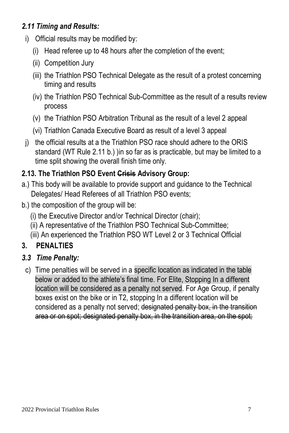#### *2.11 Timing and Results:*

- i) Official results may be modified by:
	- (i) Head referee up to 48 hours after the completion of the event;
	- (ii) Competition Jury
	- (iii) the Triathlon PSO Technical Delegate as the result of a protest concerning timing and results
	- (iv) the Triathlon PSO Technical Sub-Committee as the result of a results review process
	- (v) the Triathlon PSO Arbitration Tribunal as the result of a level 2 appeal
	- (vi) Triathlon Canada Executive Board as result of a level 3 appeal
- j) the official results at a the Triathlon PSO race should adhere to the ORIS standard (WT Rule 2.11 b.) )in so far as is practicable, but may be limited to a time split showing the overall finish time only.

#### **2.13. The Triathlon PSO Event Crisis Advisory Group:**

- a.) This body will be available to provide support and guidance to the Technical Delegates/ Head Referees of all Triathlon PSO events;
- b.) the composition of the group will be:
	- (i) the Executive Director and/or Technical Director (chair);
	- (ii) A representative of the Triathlon PSO Technical Sub-Committee;
	- (iii) An experienced the Triathlon PSO WT Level 2 or 3 Technical Official

#### **3. PENALTIES**

#### *3.3 Time Penalty:*

c) Time penalties will be served in a specific location as indicated in the table below or added to the athlete's final time. For Elite, Stopping In a different location will be considered as a penalty not served. For Age Group, if penalty boxes exist on the bike or in T2, stopping In a different location will be considered as a penalty not served; designated penalty box, in the transition area or on spot; designated penalty box, in the transition area, on the spot;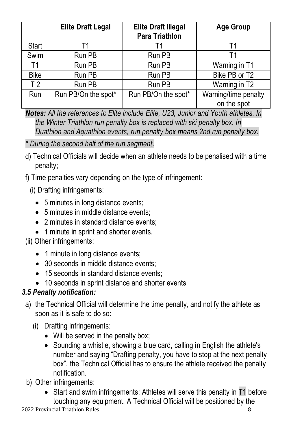|                | <b>Elite Draft Legal</b> | <b>Elite Draft Illegal</b><br>Para Triathlon |                      |  |  |  |  |  |
|----------------|--------------------------|----------------------------------------------|----------------------|--|--|--|--|--|
| Start          |                          |                                              |                      |  |  |  |  |  |
| Swim           | Run PB                   | Run PB                                       | Т1                   |  |  |  |  |  |
| Τ1             | Run PB                   | Run PB                                       | Warning in T1        |  |  |  |  |  |
| <b>Bike</b>    | Run PB                   | Run PB                                       | Bike PB or T2        |  |  |  |  |  |
| T <sub>2</sub> | Run PB                   | Run PB                                       | Warning in T2        |  |  |  |  |  |
| Run            | Run PB/On the spot*      | Run PB/On the spot*                          | Warning/time penalty |  |  |  |  |  |
|                |                          |                                              | on the spot          |  |  |  |  |  |

*Notes: All the references to Elite include Elite, U23, Junior and Youth athletes. In the Winter Triathlon run penalty box is replaced with ski penalty box. In Duathlon and Aquathlon events, run penalty box means 2nd run penalty box.*

#### *\* During the second half of the run segment*.

- d) Technical Officials will decide when an athlete needs to be penalised with a time penalty;
- f) Time penalties vary depending on the type of infringement:
	- (i) Drafting infringements:
		- 5 minutes in long distance events:
		- 5 minutes in middle distance events;
		- 2 minutes in standard distance events;
		- 1 minute in sprint and shorter events.
- (ii) Other infringements:
	- 1 minute in long distance events;
	- 30 seconds in middle distance events;
	- 15 seconds in standard distance events;
	- 10 seconds in sprint distance and shorter events

#### *3.5 Penalty notification:*

- a) the Technical Official will determine the time penalty, and notify the athlete as soon as it is safe to do so:
	- (i) Drafting infringements:
		- Will be served in the penalty box:
		- Sounding a whistle, showing a blue card, calling in English the athlete's number and saying "Drafting penalty, you have to stop at the next penalty box". the Technical Official has to ensure the athlete received the penalty notification.
- b) Other infringements:
	- Start and swim infringements: Athletes will serve this penalty in T1 before touching any equipment. A Technical Official will be positioned by the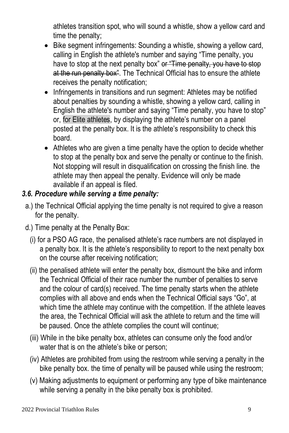athletes transition spot, who will sound a whistle, show a yellow card and time the penalty;

- Bike segment infringements: Sounding a whistle, showing a yellow card, calling in English the athlete's number and saying "Time penalty, you have to stop at the next penalty box" or "Time penalty, you have to stop at the run penalty box". The Technical Official has to ensure the athlete receives the penalty notification;
- Infringements in transitions and run segment: Athletes may be notified about penalties by sounding a whistle, showing a yellow card, calling in English the athlete's number and saying "Time penalty, you have to stop" or, for Elite athletes, by displaying the athlete's number on a panel posted at the penalty box. It is the athlete's responsibility to check this board.
- Athletes who are given a time penalty have the option to decide whether to stop at the penalty box and serve the penalty or continue to the finish. Not stopping will result in disqualification on crossing the finish line. the athlete may then appeal the penalty. Evidence will only be made available if an appeal is filed.

#### *3.6. Procedure while serving a time penalty:*

- a.) the Technical Official applying the time penalty is not required to give a reason for the penalty.
- d.) Time penalty at the Penalty Box:
	- (i) for a PSO AG race, the penalised athlete's race numbers are not displayed in a penalty box. It is the athlete's responsibility to report to the next penalty box on the course after receiving notification;
	- (ii) the penalised athlete will enter the penalty box, dismount the bike and inform the Technical Official of their race number the number of penalties to serve and the colour of card(s) received. The time penalty starts when the athlete complies with all above and ends when the Technical Official says "Go", at which time the athlete may continue with the competition. If the athlete leaves the area, the Technical Official will ask the athlete to return and the time will be paused. Once the athlete complies the count will continue;
	- (iii) While in the bike penalty box, athletes can consume only the food and/or water that is on the athlete's bike or person;
	- (iv) Athletes are prohibited from using the restroom while serving a penalty in the bike penalty box. the time of penalty will be paused while using the restroom;
	- (v) Making adjustments to equipment or performing any type of bike maintenance while serving a penalty in the bike penalty box is prohibited.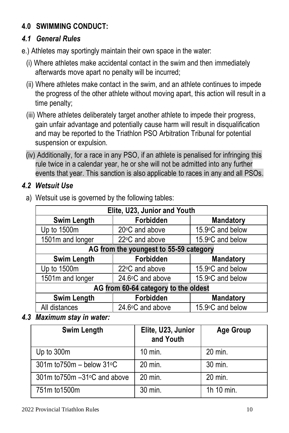#### **4.0 SWIMMING CONDUCT:**

#### *4.1 General Rules*

- e.) Athletes may sportingly maintain their own space in the water:
	- (i) Where athletes make accidental contact in the swim and then immediately afterwards move apart no penalty will be incurred;
	- (ii) Where athletes make contact in the swim, and an athlete continues to impede the progress of the other athlete without moving apart, this action will result in a time penalty;
	- (iii) Where athletes deliberately target another athlete to impede their progress, gain unfair advantage and potentially cause harm will result in disqualification and may be reported to the Triathlon PSO Arbitration Tribunal for potential suspension or expulsion.
	- (iv) Additionally, for a race in any PSO, if an athlete is penalised for infringing this rule twice in a calendar year, he or she will not be admitted into any further events that year. This sanction is also applicable to races in any and all PSOs.

#### *4.2 Wetsuit Use*

| Elite, U23, Junior and Youth           |                                      |                  |  |  |  |  |  |  |  |
|----------------------------------------|--------------------------------------|------------------|--|--|--|--|--|--|--|
| Swim Length                            | Forbidden                            | Mandatory        |  |  |  |  |  |  |  |
| Up to 1500m                            | 20°C and above                       | 15.9°C and below |  |  |  |  |  |  |  |
| 1501m and longer                       | 22°C and above                       | 15.9°C and below |  |  |  |  |  |  |  |
| AG from the youngest to 55-59 category |                                      |                  |  |  |  |  |  |  |  |
| Swim Length                            | Forbidden                            | Mandatory        |  |  |  |  |  |  |  |
| Up to 1500m                            | 22°C and above                       | 15.9°C and below |  |  |  |  |  |  |  |
| 1501m and longer                       | 24.6°C and above                     | 15.9°C and below |  |  |  |  |  |  |  |
|                                        | AG from 60-64 category to the oldest |                  |  |  |  |  |  |  |  |
| Swim Length                            | Forbidden                            | <b>Mandatory</b> |  |  |  |  |  |  |  |
| All distances                          | 24.6°C and above                     | 15.9°C and below |  |  |  |  |  |  |  |

a) Wetsuit use is governed by the following tables:

*4.3 Maximum stay in water:*

| Swim Length                     | Elite, U23, Junior<br>and Youth | <b>Age Group</b> |
|---------------------------------|---------------------------------|------------------|
| Up to 300m                      | 10 min.                         | 20 min.          |
| $301m$ to $750m -$ below $31°C$ | 20 min.                         | 30 min.          |
| 301m to750m -31°C and above     | 20 min.                         | 20 min.          |
| 751m to 1500m                   | 30 min.                         | 1h 10 min.       |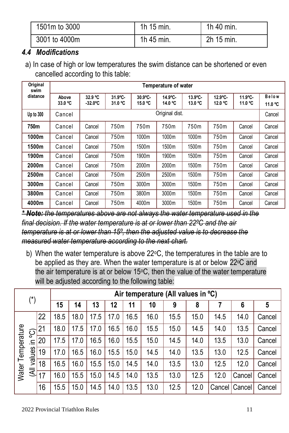| 1501m to 3000 | 1h 15 min. | 1h 40 min. |
|---------------|------------|------------|
| 3001 to 4000m | 1h 45 min. | 2h 15 min. |

#### *4.4 Modifications*

a) In case of high or low temperatures the swim distance can be shortened or even cancelled according to this table:

| Original<br>swim | Temperature of water |                              |                    |                    |                    |                   |                   |                    |                  |  |  |  |  |  |
|------------------|----------------------|------------------------------|--------------------|--------------------|--------------------|-------------------|-------------------|--------------------|------------------|--|--|--|--|--|
| distance         | Above<br>33.0 °C     | 32.9 °C<br>$-32.0^{\circ}$ C | 31.9°C-<br>31.0 °C | 30.9°C-<br>15.0 °C | 14.9°C-<br>14.0 °C | 13.9°C-<br>13.0 ℃ | 12.9°C-<br>12.0 ℃ | 11.9°C-<br>11.0 °C | Below<br>11.0 °C |  |  |  |  |  |
| Up to 300        | Cancel               |                              | Original dist.     |                    |                    |                   |                   |                    |                  |  |  |  |  |  |
| 750m             | Cancel               | Cancel                       | 750m               | 750m               | 750m               | 750m              | 750m              | Cancel             | Cancel           |  |  |  |  |  |
| 1000m            | Cancel               | Cancel                       | 750m               | 1000m              | 1000m              | 1000m             | 750m              | Cancel             | Cancel           |  |  |  |  |  |
| 1500m            | Cancel               | Cancel                       | 750m               | 1500m              | 1500m              | 1500m             | 750m              | Cancel             | Cancel           |  |  |  |  |  |
| 1900m            | Cancel               | Cancel                       | 750m               | 1900m              | 1900m              | 1500m             |                   | Cancel             | Cancel           |  |  |  |  |  |
| 2000m            | Cancel               | Cancel                       | 750m               | 2000m              | 2000m              | 1500m             | 750m              | Cancel             | Cancel           |  |  |  |  |  |
| 2500m            | Cancel               | Cancel                       | 750m               | 2500m              | 2500m              | 1500m             | 750m              | Cancel             | Cancel           |  |  |  |  |  |
| 3000m            | Cancel               | Cancel                       | 750m               | 3000m              | 3000m              | 1500m             | 750m              | Cancel             | Cancel           |  |  |  |  |  |
| 3800m            | Cancel               | Cancel                       | 750m               | 3800m              | 3000m              | 1500m             | 750m              | Cancel             | Cancel           |  |  |  |  |  |
| 4000m            | Cancel               | Cancel                       | 750m               | 4000m              | 3000m              | 1500m             | 750m              | Cancel             | Cancel           |  |  |  |  |  |

*\* Note: the temperatures above are not always the water temperature used in the final decision. If the water temperature is at or lower than 22ºC and the air temperature is at or lower than 15º, then the adjusted value is to decrease the measured water temperature according to the next chart.*

b) When the water temperature is above 22°C, the temperatures in the table are to be applied as they are. When the water temperature is at or below 22°C and the air temperature is at or below  $15^{\circ}$ C, then the value of the water temperature will be adjusted according to the following table:

| $(*)$             |                |    | Air temperature (All values in °C) |      |      |      |      |      |              |              |        |        |        |  |  |  |
|-------------------|----------------|----|------------------------------------|------|------|------|------|------|--------------|--------------|--------|--------|--------|--|--|--|
|                   |                |    | 15                                 | 14   | 13   | 12   | 11   | 10   | 9            | 8            |        | 6      | 5      |  |  |  |
|                   |                | 22 | 18.5                               | 18.0 | 17.5 | 17.0 | 16.5 | 16.0 | 15.5         | 15.0         | 14.5   | 14.0   | Cancel |  |  |  |
| Water Temperature | <u>င</u> ္ပ    | 21 | 18.0                               | 17.5 | 17.0 | 16.5 | 16.0 | 15.5 | 15.0         |              | 14.0   | 13.5   | Cancel |  |  |  |
|                   | 르.             | 20 | 17.5                               | 17.0 | 16.5 | 16.0 | 15.5 | 15.0 | 14.5         | 14.0         | 13.5   | 13.0   | Cancel |  |  |  |
|                   | values         | 19 | 17.0                               | 16.5 | 16.0 | 15.5 | 15.0 | 14.5 | 14.0         | 13.5         | 13.0   | 12.5   | Cancel |  |  |  |
|                   |                | 18 | 16.5                               | 16.0 | 15.5 | 15.0 | 14.5 | 14.0 | 13.5         | 13.0<br>12.5 |        | 12.0   | Cancel |  |  |  |
|                   | $\overline{4}$ | 17 | 16.0                               | 15.5 | 15.0 | 14.5 | 14.0 | 13.5 | 13.0<br>12.5 |              | 12.0   | Cancel | Cancel |  |  |  |
|                   |                | 16 | 15.5                               | 15.0 | 14.5 | 14.0 | 13.5 | 13.0 | 12.5         | 12.0         | Cancel | Cancel | Cancel |  |  |  |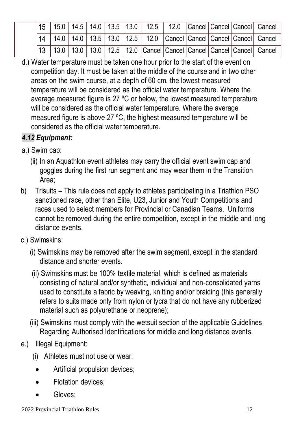|  |  |  |  |  |  | 15   15.0   14.5   14.0   13.5   13.0   12.5   12.0   Cancel   Cancel   Cancel   Cancel     |
|--|--|--|--|--|--|---------------------------------------------------------------------------------------------|
|  |  |  |  |  |  | 14   14.0   14.0   13.5   13.0   12.5   12.0   Cancel   Cancel   Cancel   Cancel   Cancel   |
|  |  |  |  |  |  | 13   13.0   13.0   13.0   12.5   12.0   Cancel   Cancel   Cancel   Cancel   Cancel   Cancel |

d.) Water temperature must be taken one hour prior to the start of the event on competition day. It must be taken at the middle of the course and in two other areas on the swim course, at a depth of 60 cm. the lowest measured temperature will be considered as the official water temperature. Where the average measured figure is 27 ºC or below, the lowest measured temperature will be considered as the official water temperature. Where the average measured figure is above 27 ºC, the highest measured temperature will be considered as the official water temperature.

#### *4.12 Equipment:*

- a.) Swim cap:
	- (ii) In an Aquathlon event athletes may carry the official event swim cap and goggles during the first run segment and may wear them in the Transition Area;
- b) Trisuits This rule does not apply to athletes participating in a Triathlon PSO sanctioned race, other than Elite, U23, Junior and Youth Competitions and races used to select members for Provincial or Canadian Teams. Uniforms cannot be removed during the entire competition, except in the middle and long distance events.
- c.) Swimskins:
	- (i) Swimskins may be removed after the swim segment, except in the standard distance and shorter events.
	- (ii) Swimskins must be 100% textile material, which is defined as materials consisting of natural and/or synthetic, individual and non-consolidated yarns used to constitute a fabric by weaving, knitting and/or braiding (this generally refers to suits made only from nylon or lycra that do not have any rubberized material such as polyurethane or neoprene);
	- (iii) Swimskins must comply with the wetsuit section of the applicable Guidelines Regarding Authorised Identifications for middle and long distance events.
- e.) Illegal Equipment:
	- (i) Athletes must not use or wear:
		- Artificial propulsion devices;
		- Flotation devices;
		- Gloves: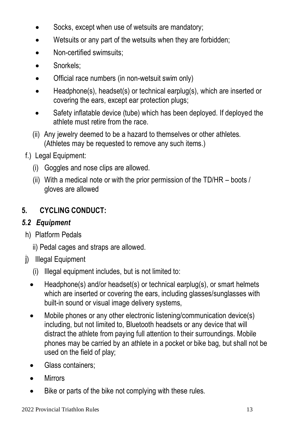- Socks, except when use of wetsuits are mandatory;
- Wetsuits or any part of the wetsuits when they are forbidden;
- Non-certified swimsuits;
- Snorkels;
- Official race numbers (in non-wetsuit swim only)
- Headphone(s), headset(s) or technical earplug(s), which are inserted or covering the ears, except ear protection plugs;
- Safety inflatable device (tube) which has been deployed. If deployed the athlete must retire from the race.
- (ii) Any jewelry deemed to be a hazard to themselves or other athletes. (Athletes may be requested to remove any such items.)
- f.) Legal Equipment:
	- (i) Goggles and nose clips are allowed.
	- (ii) With a medical note or with the prior permission of the TD/HR boots  $/$ gloves are allowed

#### **5. CYCLING CONDUCT:**

#### *5.2 Equipment*

- h) Platform Pedals
	- ii) Pedal cages and straps are allowed.
- j) Illegal Equipment
	- (i) Illegal equipment includes, but is not limited to:
	- Headphone(s) and/or headset(s) or technical earplug(s), or smart helmets which are inserted or covering the ears, including glasses/sunglasses with built-in sound or visual image delivery systems,
	- Mobile phones or any other electronic listening/communication device(s) including, but not limited to, Bluetooth headsets or any device that will distract the athlete from paying full attention to their surroundings. Mobile phones may be carried by an athlete in a pocket or bike bag, but shall not be used on the field of play;
	- Glass containers;
	- Mirrors
	- Bike or parts of the bike not complying with these rules.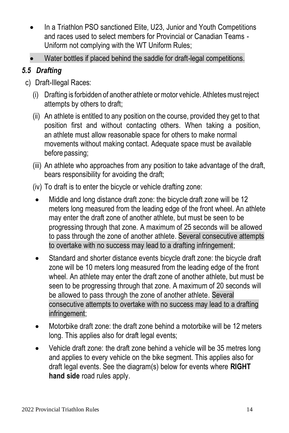- In a Triathlon PSO sanctioned Elite, U23, Junior and Youth Competitions and races used to select members for Provincial or Canadian Teams - Uniform not complying with the WT Uniform Rules;
- Water bottles if placed behind the saddle for draft-legal competitions.

#### *5.5 Drafting*

- c) Draft-Illegal Races:
	- (i) Drafting is forbidden of another athlete or motor vehicle. Athletes must reject attempts by others to draft;
	- (ii) An athlete is entitled to any position on the course, provided they get to that position first and without contacting others. When taking a position, an athlete must allow reasonable space for others to make normal movements without making contact. Adequate space must be available before passing;
	- (iii) An athlete who approaches from any position to take advantage of the draft, bears responsibility for avoiding the draft;
	- (iv) To draft is to enter the bicycle or vehicle drafting zone:
		- Middle and long distance draft zone: the bicycle draft zone will be 12 meters long measured from the leading edge of the front wheel. An athlete may enter the draft zone of another athlete, but must be seen to be progressing through that zone. A maximum of 25 seconds will be allowed to pass through the zone of another athlete. Several consecutive attempts to overtake with no success may lead to a drafting infringement;
		- Standard and shorter distance events bicycle draft zone: the bicycle draft zone will be 10 meters long measured from the leading edge of the front wheel. An athlete may enter the draft zone of another athlete, but must be seen to be progressing through that zone. A maximum of 20 seconds will be allowed to pass through the zone of another athlete. Several consecutive attempts to overtake with no success may lead to a drafting infringement;
		- Motorbike draft zone: the draft zone behind a motorbike will be 12 meters long. This applies also for draft legal events:
		- Vehicle draft zone: the draft zone behind a vehicle will be 35 metres long and applies to every vehicle on the bike segment. This applies also for draft legal events. See the diagram(s) below for events where **RIGHT hand side** road rules apply.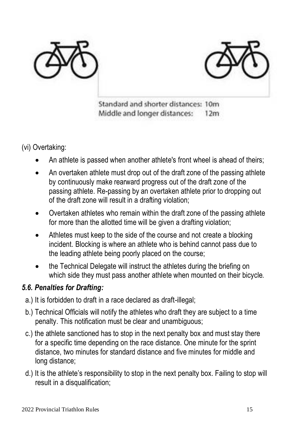



Standard and shorter distances: 10m Middle and longer distances:  $12m$ 

(vi) Overtaking:

- An athlete is passed when another athlete's front wheel is ahead of theirs:
- An overtaken athlete must drop out of the draft zone of the passing athlete by continuously make rearward progress out of the draft zone of the passing athlete. Re-passing by an overtaken athlete prior to dropping out of the draft zone will result in a drafting violation;
- Overtaken athletes who remain within the draft zone of the passing athlete for more than the allotted time will be given a drafting violation;
- Athletes must keep to the side of the course and not create a blocking incident. Blocking is where an athlete who is behind cannot pass due to the leading athlete being poorly placed on the course;
- the Technical Delegate will instruct the athletes during the briefing on which side they must pass another athlete when mounted on their bicycle.

#### *5.6. Penalties for Drafting:*

- a.) It is forbidden to draft in a race declared as draft-illegal;
- b.) Technical Officials will notify the athletes who draft they are subject to a time penalty. This notification must be clear and unambiguous;
- c.) the athlete sanctioned has to stop in the next penalty box and must stay there for a specific time depending on the race distance. One minute for the sprint distance, two minutes for standard distance and five minutes for middle and long distance;
- d.) It is the athlete's responsibility to stop in the next penalty box. Failing to stop will result in a disqualification: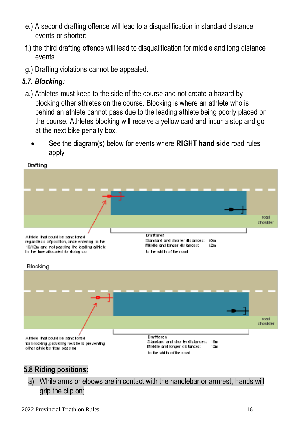- e.) A second drafting offence will lead to a disqualification in standard distance events or shorter;
- f.) the third drafting offence will lead to disqualification for middle and long distance events.
- g.) Drafting violations cannot be appealed.

#### *5.7. Blocking:*

- a.) Athletes must keep to the side of the course and not create a hazard by blocking other athletes on the course. Blocking is where an athlete who is behind an athlete cannot pass due to the leading athlete being poorly placed on the course. Athletes blocking will receive a yellow card and incur a stop and go at the next bike penalty box.
	- See the diagram(s) below for events where **RIGHT hand side** road rules apply



#### Drafting

#### **5.8 Riding positions:**

a) While arms or elbows are in contact with the handlebar or armrest, hands will grip the clip on;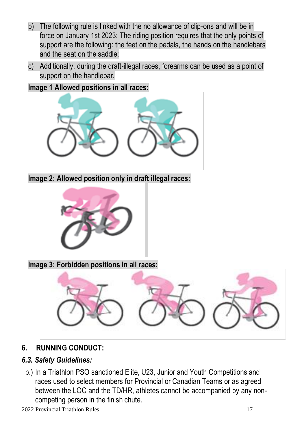- b) The following rule is linked with the no allowance of clip-ons and will be in force on January 1st 2023: The riding position requires that the only points of support are the following: the feet on the pedals, the hands on the handlebars and the seat on the saddle;
- c) Additionally, during the draft-illegal races, forearms can be used as a point of support on the handlebar.

#### **Image 1 Allowed positions in all races:**



**Image 2: Allowed position only in draft illegal races:**



**Image 3: Forbidden positions in all races:**



#### **6. RUNNING CONDUCT:**

#### *6.3. Safety Guidelines:*

b.) In a Triathlon PSO sanctioned Elite, U23, Junior and Youth Competitions and races used to select members for Provincial or Canadian Teams or as agreed between the LOC and the TD/HR, athletes cannot be accompanied by any noncompeting person in the finish chute.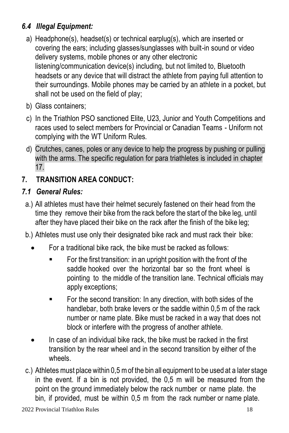#### *6.4 Illegal Equipment:*

- a) Headphone(s), headset(s) or technical earplug(s), which are inserted or covering the ears; including glasses/sunglasses with built-in sound or video delivery systems, mobile phones or any other electronic listening/communication device(s) including, but not limited to, Bluetooth headsets or any device that will distract the athlete from paying full attention to their surroundings. Mobile phones may be carried by an athlete in a pocket, but shall not be used on the field of play;
- b) Glass containers;
- c) In the Triathlon PSO sanctioned Elite, U23, Junior and Youth Competitions and races used to select members for Provincial or Canadian Teams - Uniform not complying with the WT Uniform Rules.
- d) Crutches, canes, poles or any device to help the progress by pushing or pulling with the arms. The specific regulation for para triathletes is included in chapter 17.

#### **7. TRANSITION AREA CONDUCT:**

#### *7.1 General Rules:*

- a.) All athletes must have their helmet securely fastened on their head from the time they remove their bike from the rack before the start of the bike leg, until after they have placed their bike on the rack after the finish of the bike leg;
- b.) Athletes must use only their designated bike rack and must rack their bike:
	- For a traditional bike rack, the bike must be racked as follows:
		- For the first transition: in an upright position with the front of the saddle hooked over the horizontal bar so the front wheel is pointing to the middle of the transition lane. Technical officials may apply exceptions;
		- For the second transition: In any direction, with both sides of the handlebar, both brake levers or the saddle within 0,5 m of the rack number or name plate. Bike must be racked in a way that does not block or interfere with the progress of another athlete.
	- In case of an individual bike rack, the bike must be racked in the first transition by the rear wheel and in the second transition by either of the wheels.
- c.) Athletes must place within  $0.5$  m of the bin all equipment to be used at a later stage in the event. If a bin is not provided, the 0,5 m will be measured from the point on the ground immediately below the rack number or name plate. the bin, if provided, must be within 0,5 m from the rack number or name plate.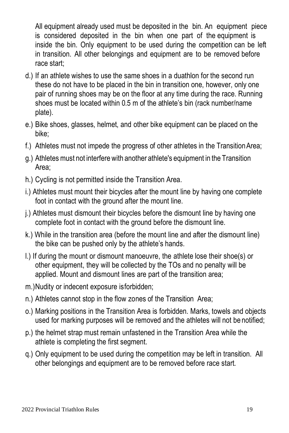All equipment already used must be deposited in the bin. An equipment piece is considered deposited in the bin when one part of the equipment is inside the bin. Only equipment to be used during the competition can be left in transition. All other belongings and equipment are to be removed before race start;

- d.) If an athlete wishes to use the same shoes in a duathlon for the second run these do not have to be placed in the bin in transition one, however, only one pair of running shoes may be on the floor at any time during the race. Running shoes must be located within 0.5 m of the athlete's bin (rack number/name plate).
- e.) Bike shoes, glasses, helmet, and other bike equipment can be placed on the bike;
- f.) Athletes must not impede the progress of other athletes in the TransitionArea;
- g.) Athletes must not interfere with another athlete's equipment in the Transition Area;
- h.) Cycling is not permitted inside the Transition Area.
- i.) Athletes must mount their bicycles after the mount line by having one complete foot in contact with the ground after the mount line.
- j.) Athletes must dismount their bicycles before the dismount line by having one complete foot in contact with the ground before the dismount line.
- k.) While in the transition area (before the mount line and after the dismount line) the bike can be pushed only by the athlete's hands.
- l.) If during the mount or dismount manoeuvre, the athlete lose their shoe(s) or other equipment, they will be collected by the TOs and no penalty will be applied. Mount and dismount lines are part of the transition area;
- m.)Nudity or indecent exposure isforbidden;
- n.) Athletes cannot stop in the flow zones of the Transition Area;
- o.) Marking positions in the Transition Area is forbidden. Marks, towels and objects used for marking purposes will be removed and the athletes will not be notified;
- p.) the helmet strap must remain unfastened in the Transition Area while the athlete is completing the first segment.
- q.) Only equipment to be used during the competition may be left in transition. All other belongings and equipment are to be removed before race start.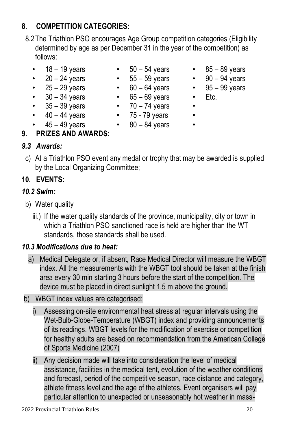#### **8. COMPETITION CATEGORIES:**

- 8.2The Triathlon PSO encourages Age Group competition categories (Eligibility determined by age as per December 31 in the year of the competition) as follows:
	-
	-
	-
	- $\cdot$  30 34 years  $\cdot$  65 69 years  $\cdot$  Etc.
	- 35 39 years 70 74 years •  $40 - 44$  years •  $75 - 79$  years •
	- $45 49$  years  $80 84$  years •
	-

#### **9. PRIZES AND AWARDS:**

#### *9.3 Awards:*

c) At a Triathlon PSO event any medal or trophy that may be awarded is supplied by the Local Organizing Committee;

#### **10. EVENTS:**

#### *10.2 Swim:*

- b) Water quality
	- iii.) If the water quality standards of the province, municipality, city or town in which a Triathlon PSO sanctioned race is held are higher than the WT standards, those standards shall be used.

#### *10.3 Modifications due to heat:*

- a) Medical Delegate or, if absent, Race Medical Director will measure the WBGT index. All the measurements with the WBGT tool should be taken at the finish area every 30 min starting 3 hours before the start of the competition. The device must be placed in direct sunlight 1.5 m above the ground.
- b) WBGT index values are categorised:
	- i) Assessing on-site environmental heat stress at regular intervals using the Wet-Bulb-Globe-Temperature (WBGT) index and providing announcements of its readings. WBGT levels for the modification of exercise or competition for healthy adults are based on recommendation from the American College of Sports Medicine (2007)
	- ii) Any decision made will take into consideration the level of medical assistance, facilities in the medical tent, evolution of the weather conditions and forecast, period of the competitive season, race distance and category, athlete fitness level and the age of the athletes. Event organisers will pay particular attention to unexpected or unseasonably hot weather in mass-
- 18 19 years 50 54 years 85 89 years
- $20 24$  years  $55 59$  years  $90 94$  years
- $25 29$  years  $60 64$  years  $95 99$  years
	-
	- -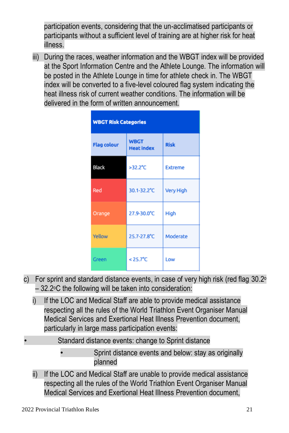participation events, considering that the un-acclimatised participants or participants without a sufficient level of training are at higher risk for heat illness.

iii) During the races, weather information and the WBGT index will be provided at the Sport Information Centre and the Athlete Lounge. The information will be posted in the Athlete Lounge in time for athlete check in. The WBGT index will be converted to a five-level coloured flag system indicating the heat illness risk of current weather conditions. The information will be delivered in the form of written announcement.

| <b>WBGT Risk Categories</b> |                                  |                  |  |  |  |  |  |  |  |
|-----------------------------|----------------------------------|------------------|--|--|--|--|--|--|--|
| <b>Flag colour</b>          | <b>WBGT</b><br><b>Heat index</b> | <b>Risk</b>      |  |  |  |  |  |  |  |
| <b>Black</b>                | $>32.2^{\circ}C$                 | <b>Extreme</b>   |  |  |  |  |  |  |  |
| Red                         | 30.1-32.2°C                      | <b>Very High</b> |  |  |  |  |  |  |  |
| Orange                      | 27.9-30.0°C                      | High             |  |  |  |  |  |  |  |
| Yellow                      | 25.7-27.8°C                      | Moderate         |  |  |  |  |  |  |  |
| Green                       | $< 25.7^{\circ}C$                | Low              |  |  |  |  |  |  |  |

- c) For sprint and standard distance events, in case of very high risk (red flag  $30.2^\circ$ – 32.2oC the following will be taken into consideration:
	- i) If the LOC and Medical Staff are able to provide medical assistance respecting all the rules of the World Triathlon Event Organiser Manual Medical Services and Exertional Heat Illness Prevention document, particularly in large mass participation events:
- Standard distance events: change to Sprint distance
	- Sprint distance events and below: stay as originally planned
	- ii) If the LOC and Medical Staff are unable to provide medical assistance respecting all the rules of the World Triathlon Event Organiser Manual Medical Services and Exertional Heat Illness Prevention document,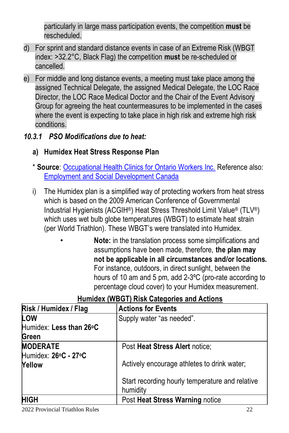particularly in large mass participation events, the competition **must** be rescheduled.

- d) For sprint and standard distance events in case of an Extreme Risk (WBGT index: >32.2°C, Black Flag) the competition **must** be re-scheduled or cancelled.
- e) For middle and long distance events, a meeting must take place among the assigned Technical Delegate, the assigned Medical Delegate, the LOC Race Director, the LOC Race Medical Doctor and the Chair of the Event Advisory Group for agreeing the heat countermeasures to be implemented in the cases where the event is expecting to take place in high risk and extreme high risk conditions.
- *10.3.1 PSO Modifications due to heat:*
	- **a) Humidex Heat Stress Response Plan**
	- \* **Source**[: Occupational Health Clinics for Ontario Workers Inc.](https://www.google.ca/url?sa=t&rct=j&q=&esrc=s&source=web&cd=&ved=2ahUKEwjPhoixk871AhU_HTQIHarCAAIQFnoECAUQAQ&url=https%3A%2F%2Fwww.whsc.on.ca%2FFiles%2FWhat-s-New%2FOHCOW_Humidex-Heat-Stress-Response-Plan&usg=AOvVaw3-kfhTwAPVxl8b3Snww7LD) Reference also: [Employment and Social Development Canada](https://www.canada.ca/en/employment-social-development/services/health-safety/reports/thermal-stress-work-place.html)
	- i) The Humidex plan is a simplified way of protecting workers from heat stress which is based on the 2009 American Conference of Governmental Industrial Hygienists (ACGIH®) Heat Stress Threshold Limit Value® (TLV®) which uses wet bulb globe temperatures (WBGT) to estimate heat strain (per World Triathlon). These WBGT's were translated into Humidex.
		- **Note:** in the translation process some simplifications and assumptions have been made, therefore, **the plan may not be applicable in all circumstances and/or locations.**  For instance, outdoors, in direct sunlight, between the hours of 10 am and 5 pm, add 2-3ºC (pro-rate according to percentage cloud cover) to your Humidex measurement.

| Risk / Humidex / Flag   | <b>Actions for Events</b>                       |
|-------------------------|-------------------------------------------------|
| LOW                     | Supply water "as needed".                       |
| Humidex: Less than 26°C |                                                 |
| Green                   |                                                 |
| <b>MODERATE</b>         | Post Heat Stress Alert notice:                  |
| Humidex: 26°C - 27°C    |                                                 |
| Yellow                  | Actively encourage athletes to drink water;     |
|                         |                                                 |
|                         | Start recording hourly temperature and relative |
|                         | humidity                                        |
| <b>HIGH</b>             | Post Heat Stress Warning notice                 |

#### **Humidex (WBGT) Risk Categories and Actions**

2022 Provincial Triathlon Rules 22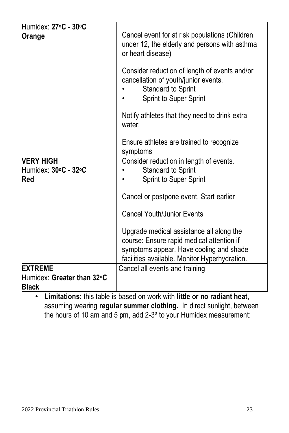| Humidex: 27°C - 30°C<br>Orange                                                                 | Cancel event for at risk populations (Children<br>under 12, the elderly and persons with asthma<br>or heart disease)<br>Consider reduction of length of events and/or<br>cancellation of youth/junior events.<br>Standard to Sprint<br>Sprint to Super Sprint |
|------------------------------------------------------------------------------------------------|---------------------------------------------------------------------------------------------------------------------------------------------------------------------------------------------------------------------------------------------------------------|
|                                                                                                | Notify athletes that they need to drink extra<br>water:                                                                                                                                                                                                       |
|                                                                                                | Ensure athletes are trained to recognize<br>symptoms                                                                                                                                                                                                          |
| <b>VERY HIGH</b><br>Humidex: 30°C - 32°C<br>Red                                                | Consider reduction in length of events.<br>Standard to Sprint<br>Sprint to Super Sprint                                                                                                                                                                       |
|                                                                                                | Cancel or postpone event. Start earlier                                                                                                                                                                                                                       |
|                                                                                                | <b>Cancel Youth/Junior Events</b>                                                                                                                                                                                                                             |
|                                                                                                | Upgrade medical assistance all along the<br>course: Ensure rapid medical attention if<br>symptoms appear. Have cooling and shade<br>facilities available. Monitor Hyperhydration.                                                                             |
| <b>EXTREME</b><br>Humidex: Greater than 32°C<br>Black<br>the common committee of the com-<br>. | Cancel all events and training<br>$\mathbf{r} = \mathbf{r} \cdot \mathbf{r}$ . The set of $\mathbf{r}$<br>$\cdots$<br>$\sim$ $\sim$                                                                                                                           |

• **Limitations:** this table is based on work with **little or no radiant heat**, assuming wearing **regular summer clothing.** In direct sunlight, between the hours of 10 am and 5 pm, add 2-3º to your Humidex measurement: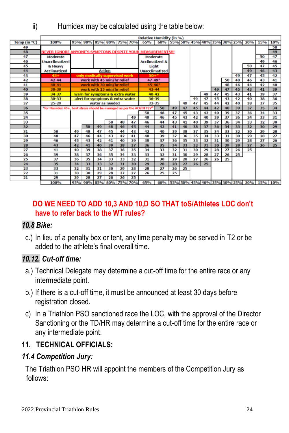ii) Humidex may be calculated using the table below:

|                 |                                                                       |    |    |                                  |    |    |                 | <b>Relative Humidity (in %)</b>                                                           |                                     |    |    |    |    |    |                 |    |                 |                 |                 |
|-----------------|-----------------------------------------------------------------------|----|----|----------------------------------|----|----|-----------------|-------------------------------------------------------------------------------------------|-------------------------------------|----|----|----|----|----|-----------------|----|-----------------|-----------------|-----------------|
| Temp (in °C)    | 100%                                                                  |    |    | 95% 90% 85% 80% 75% 70%          |    |    |                 | 65%                                                                                       | 60% 55% 50% 45% 40% 35% 30% 25% 20% |    |    |    |    |    |                 |    |                 | 15%             | 10%             |
| 49              |                                                                       |    |    |                                  |    |    |                 |                                                                                           |                                     |    |    |    |    |    |                 |    |                 |                 | 50              |
| 48              | NEVER IGNORE ANYONE'S SYMPTOMS DESPITE YOUR MEASUREMENTS !!!          |    |    |                                  |    |    |                 |                                                                                           |                                     |    |    |    |    |    |                 |    |                 |                 | 49              |
| 47              | <b>Moderate</b>                                                       |    |    |                                  |    |    |                 | <b>Moderate</b>                                                                           |                                     |    |    |    |    |    |                 |    |                 | 50              | 47              |
| 46              | <b>Unacclimatized</b>                                                 |    |    |                                  |    |    |                 | <b>Acclimatized &amp;</b>                                                                 |                                     |    |    |    |    |    |                 |    |                 | 49              | 46              |
| 45              | & Heavy                                                               |    |    |                                  |    |    |                 | Light                                                                                     |                                     |    |    |    |    |    |                 |    | 50              | 47              | 45              |
| 44              | <b>Acclimatized</b>                                                   |    |    | <b>Action</b>                    |    |    |                 | <b>Unacclimatized</b>                                                                     |                                     |    |    |    |    |    |                 |    | 49              | 46              | 43              |
| 43              | 45+                                                                   |    |    | only medically supervised work   |    |    |                 | $50 +$ <sup>3</sup>                                                                       |                                     |    |    |    |    |    |                 | 49 | 47              | 45              | 42              |
| 42              | $42 - 44$                                                             |    |    | work with 45 min/hr relief       |    |    |                 | $47 - 49$ <sup>+</sup>                                                                    |                                     |    |    |    |    |    | 50              | 48 | 46              | 43              | 41              |
| 41              | $40 - 41$                                                             |    |    | work with 30 min/hr relief       |    |    |                 | $45 - 46*$                                                                                |                                     |    |    |    |    |    | 48              | 46 | 44              | 42              | 40              |
| 40              | $38 - 39$                                                             |    |    | work with 15 min/hr relief       |    |    |                 | $43 - 44$                                                                                 |                                     |    |    |    |    | 49 | 47              | 45 | 43              | 41              | 39              |
| 39              | $34 - 37$                                                             |    |    | warn for symptoms & extra water  |    |    |                 | $40 - 42$                                                                                 |                                     |    |    |    | 49 | 47 | 45              | 43 | 41              | 39              | 37              |
| 38              | $30 - 33$                                                             |    |    | alert for symptoms & extra water |    |    |                 | $36 - 39$                                                                                 |                                     |    |    | 49 | 47 | 45 | 43              | 42 | 40              | 38              | 36              |
| 37              | $25 - 29$                                                             |    |    | water as needed                  |    |    |                 | $32 - 35$                                                                                 |                                     |    | 49 | 47 | 45 | 44 | 42              | 40 | $\overline{38}$ | $\overline{37}$ | $\overline{35}$ |
| 36              | *for Humidex 45+. heat stress should be managed as per the ACGIH TLV® |    |    |                                  |    |    |                 |                                                                                           | 50                                  | 49 | 47 | 45 | 44 | 42 | 40              | 39 | $\overline{37}$ | $\overline{35}$ | 34              |
| 35              |                                                                       |    |    |                                  |    |    |                 | 50                                                                                        | 48                                  | 47 | 45 | 43 | 42 | 40 | 39              | 37 | 36              | 34              | 33              |
| 34              |                                                                       |    |    |                                  |    |    | 49              | 48                                                                                        | 46                                  | 45 | 43 | 42 | 40 | 39 | 37              | 36 | 34              | 33              | 31              |
| 33              |                                                                       |    |    |                                  | 50 | 48 | 47              | 46                                                                                        | 44                                  | 43 | 41 | 40 | 39 | 37 | 36              | 34 | 33              | 32              | 30              |
| 32              |                                                                       |    | 50 | 49                               | 48 | 46 | 45              | 44                                                                                        | 42                                  | 41 | 40 | 38 | 37 | 36 | 34              | 33 | 32              | 30              | 29              |
| 31              | 50                                                                    | 49 | 48 | 47                               | 45 | 44 | 43              | 42                                                                                        | 40                                  | 39 | 38 | 37 | 35 | 34 | 33              | 32 | 30              | 29              | 28              |
| 30              | 48                                                                    | 47 | 46 | 44                               | 43 | 42 | 41              | 40                                                                                        | 39                                  | 37 | 36 | 35 | 34 | 33 | 31              | 30 | 29              | 28              | 27              |
| 29              | 46                                                                    | 45 | 43 | 42                               | 41 | 40 | 39              | 38                                                                                        | 37                                  | 36 | 35 | 33 | 32 | 31 | 30              | 29 | 28              | $\overline{27}$ | 26              |
| 28              | 43                                                                    | 42 | 41 | 40                               | 39 | 38 | $\overline{37}$ | 36                                                                                        | $\overline{35}$                     | 34 | 33 | 32 | 31 | 30 | 29              | 28 | $\overline{27}$ | 26              | 25              |
| $\overline{27}$ | 41                                                                    | 40 | 39 | 38                               | 37 | 36 | 35              | 34                                                                                        | 33                                  | 32 | 31 | 30 | 29 | 28 | $\overline{27}$ | 26 | 25              |                 |                 |
| 26              | 39                                                                    | 38 | 37 | 36                               | 35 | 34 | 33              | 33                                                                                        | 32                                  | 31 | 30 | 29 | 28 | 27 | 26              | 25 |                 |                 |                 |
| 25              | 37                                                                    | 36 | 35 | 34                               | 33 | 33 | 32              | 31                                                                                        | 30                                  | 29 | 28 | 27 | 26 | 26 | 25              |    |                 |                 |                 |
| 24              | 35                                                                    | 34 | 33 | 33                               | 32 | 31 | 30              | 29                                                                                        | 28                                  | 28 | 27 | 26 | 25 |    |                 |    |                 |                 |                 |
| 23              | 33                                                                    | 32 | 31 | 31                               | 30 | 29 | 28              | 28                                                                                        | 27                                  | 26 | 25 |    |    |    |                 |    |                 |                 |                 |
| 22              | 31                                                                    | 30 | 30 | 29                               | 28 | 27 | 27              | 26                                                                                        | 25                                  | 25 |    |    |    |    |                 |    |                 |                 |                 |
| $\overline{21}$ | 29                                                                    | 29 | 28 | 27                               | 26 | 26 | 25              |                                                                                           |                                     |    |    |    |    |    |                 |    |                 |                 |                 |
|                 | 100%                                                                  |    |    |                                  |    |    |                 | 0506 0006 0506 0006 7506 7006 6506 6006 5506 5006 4506 4006 7506 7006 7506 7006 1506 1006 |                                     |    |    |    |    |    |                 |    |                 |                 |                 |

#### **DO WE NEED TO ADD 10,3 AND 10,D SO THAT toS/Athletes LOC don't have to refer back to the WT rules?**

#### *10.8 Bike:*

c.) In lieu of a penalty box or tent, any time penalty may be served in T2 or be added to the athlete's final overall time.

#### *10.12. Cut-off time:*

- a.) Technical Delegate may determine a cut-off time for the entire race or any intermediate point.
- b.) If there is a cut-off time, it must be announced at least 30 days before registration closed.
- c) In a Triathlon PSO sanctioned race the LOC, with the approval of the Director Sanctioning or the TD/HR may determine a cut-off time for the entire race or any intermediate point.

#### **11. TECHNICAL OFFICIALS:**

#### *11.4 Competition Jury:*

The Triathlon PSO HR will appoint the members of the Competition Jury as follows: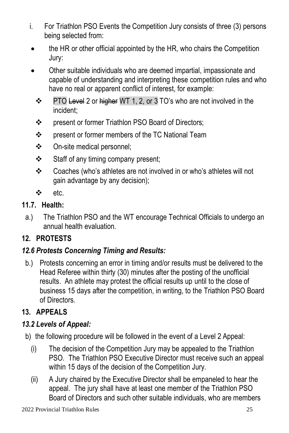- i. For Triathlon PSO Events the Competition Jury consists of three (3) persons being selected from:
- the HR or other official appointed by the HR, who chairs the Competition Jury:
- Other suitable individuals who are deemed impartial, impassionate and capable of understanding and interpreting these competition rules and who have no real or apparent conflict of interest, for example:
	- ❖ PTO Level 2 or higher WT 1, 2, or 3 TO's who are not involved in the incident;
	- ❖ present or former Triathlon PSO Board of Directors;
	- ❖ present or former members of the TC National Team
	- ❖ On-site medical personnel;
	- ❖ Staff of any timing company present;
	- ❖ Coaches (who's athletes are not involved in or who's athletes will not gain advantage by any decision);
	- ❖ etc.

#### **11.7. Health:**

a.) The Triathlon PSO and the WT encourage Technical Officials to undergo an annual health evaluation.

#### **12. PROTESTS**

#### *12.6 Protests Concerning Timing and Results:*

b.) Protests concerning an error in timing and/or results must be delivered to the Head Referee within thirty (30) minutes after the posting of the unofficial results. An athlete may protest the official results up until to the close of business 15 days after the competition, in writing, to the Triathlon PSO Board of Directors.

#### **13. APPEALS**

#### *13.2 Levels of Appeal:*

- b) the following procedure will be followed in the event of a Level 2 Appeal:
	- (i) The decision of the Competition Jury may be appealed to the Triathlon PSO. The Triathlon PSO Executive Director must receive such an appeal within 15 days of the decision of the Competition Jury.
	- (ii) A Jury chaired by the Executive Director shall be empaneled to hear the appeal. The jury shall have at least one member of the Triathlon PSO Board of Directors and such other suitable individuals, who are members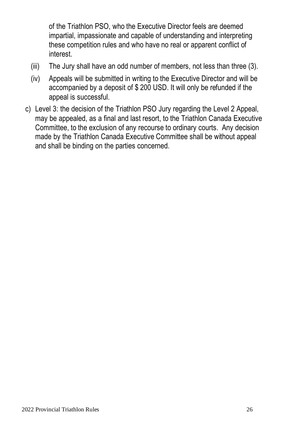of the Triathlon PSO, who the Executive Director feels are deemed impartial, impassionate and capable of understanding and interpreting these competition rules and who have no real or apparent conflict of interest.

- (iii) The Jury shall have an odd number of members, not less than three (3).
- (iv) Appeals will be submitted in writing to the Executive Director and will be accompanied by a deposit of \$ 200 USD. It will only be refunded if the appeal is successful.
- c) Level 3: the decision of the Triathlon PSO Jury regarding the Level 2 Appeal, may be appealed, as a final and last resort, to the Triathlon Canada Executive Committee, to the exclusion of any recourse to ordinary courts. Any decision made by the Triathlon Canada Executive Committee shall be without appeal and shall be binding on the parties concerned.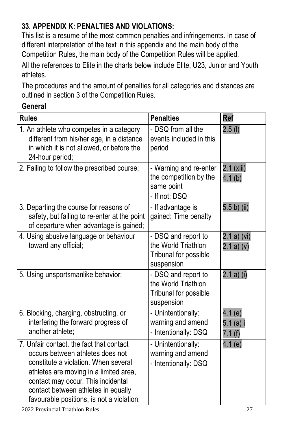#### **33. APPENDIX K: PENALTIES AND VIOLATIONS:**

This list is a resume of the most common penalties and infringements. In case of different interpretation of the text in this appendix and the main body of the Competition Rules, the main body of the Competition Rules will be applied. All the references to Elite in the charts below include Elite, U23, Junior and Youth athletes.

The procedures and the amount of penalties for all categories and distances are outlined in section 3 of the Competition Rules.

#### **General**

| <b>Rules</b>                                                                                                                                                                                                                                                                             | <b>Penalties</b>                                                                  | Ref                              |
|------------------------------------------------------------------------------------------------------------------------------------------------------------------------------------------------------------------------------------------------------------------------------------------|-----------------------------------------------------------------------------------|----------------------------------|
| 1. An athlete who competes in a category<br>different from his/her age, in a distance<br>in which it is not allowed, or before the<br>24-hour period;                                                                                                                                    | - DSQ from all the<br>events included in this<br>period                           | $2.5$ (I)                        |
| 2. Failing to follow the prescribed course;                                                                                                                                                                                                                                              | - Warning and re-enter<br>the competition by the<br>same point<br>- If not: DSO   | 2.1 (xiii)<br>4.1 <sub>(b)</sub> |
| 3. Departing the course for reasons of<br>safety, but failing to re-enter at the point<br>of departure when advantage is gained;                                                                                                                                                         | - If advantage is<br>gained: Time penalty                                         | 5.5 b) (ii)                      |
| 4. Using abusive language or behaviour<br>toward any official;                                                                                                                                                                                                                           | - DSQ and report to<br>the World Triathlon<br>Tribunal for possible<br>suspension | 2.1 a) (vi)<br>2.1 a) (v)        |
| 5. Using unsportsmanlike behavior;                                                                                                                                                                                                                                                       | - DSQ and report to<br>the World Triathlon<br>Tribunal for possible<br>suspension | 2.1 a) (i)                       |
| 6. Blocking, charging, obstructing, or<br>interfering the forward progress of<br>another athlete:                                                                                                                                                                                        | - Unintentionally:<br>warning and amend<br>- Intentionally: DSQ                   | 4.1 (e)<br>$5.1(a)$ i<br>7.1(f)  |
| 7. Unfair contact, the fact that contact<br>occurs between athletes does not<br>constitute a violation. When several<br>athletes are moving in a limited area,<br>contact may occur. This incidental<br>contact between athletes in equally<br>favourable positions, is not a violation; | - Unintentionally:<br>warning and amend<br>- Intentionally: DSQ                   | 4.1(e)                           |

2022 Provincial Triathlon Rules 27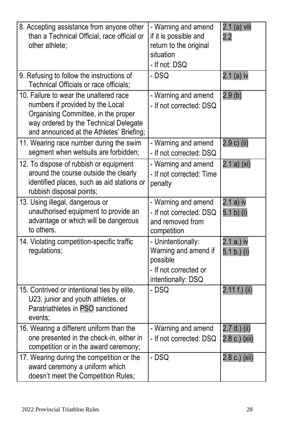| 8. Accepting assistance from anyone other<br>than a Technical Official, race official or<br>other athlete:                                                                                             | - Warning and amend<br>if it is possible and<br>return to the original<br>situation<br>- If not: DSQ  | 2.1 (a) viii<br>2.2             |
|--------------------------------------------------------------------------------------------------------------------------------------------------------------------------------------------------------|-------------------------------------------------------------------------------------------------------|---------------------------------|
| 9. Refusing to follow the instructions of<br>Technical Officials or race officials;                                                                                                                    | $-$ DSQ                                                                                               | 2.1 (a) iv                      |
| 10. Failure to wear the unaltered race<br>numbers if provided by the Local<br>Organising Committee, in the proper<br>way ordered by the Technical Delegate<br>and announced at the Athletes' Briefing; | - Warning and amend<br>- If not corrected: DSQ                                                        | 2.9(b)                          |
| 11. Wearing race number during the swim<br>segment when wetsuits are forbidden;                                                                                                                        | - Warning and amend<br>- If not corrected: DSQ                                                        | 2.9 c) (ii)                     |
| 12. To dispose of rubbish or equipment<br>around the course outside the clearly<br>identified places, such as aid stations or<br>rubbish disposal points;                                              | - Warning and amend<br>- If not corrected: Time<br>penalty                                            | 2.1 a) (xi)                     |
| 13. Using illegal, dangerous or<br>unauthorised equipment to provide an<br>advantage or which will be dangerous<br>to others.                                                                          | - Warning and amend<br>- If not corrected: DSQ<br>and removed from<br>competition                     | 2.1 a) iv<br>5.1 b) (i)         |
| 14. Violating competition-specific traffic<br>regulations;                                                                                                                                             | - Unintentionally:<br>Warning and amend if<br>possible<br>- If not corrected or<br>intentionally: DSQ | 2.1 a.) iv<br>5.1 b.) (i)       |
| 15. Contrived or intentional ties by elite,<br>U23, junior and youth athletes, or<br>Paratriathletes in PSO sanctioned<br>events:                                                                      | - DSQ                                                                                                 | 2.11 f.) (ii)                   |
| 16. Wearing a different uniform than the<br>one presented in the check-in, either in<br>competition or in the award ceremony;                                                                          | - Warning and amend<br>- If not corrected: DSQ                                                        | $2.7 d.)$ (ii)<br>2.8 c.) (xii) |
| 17. Wearing during the competition or the<br>award ceremony a uniform which<br>doesn't meet the Competition Rules;                                                                                     | - DSQ                                                                                                 | 2.8 c.) (xii)                   |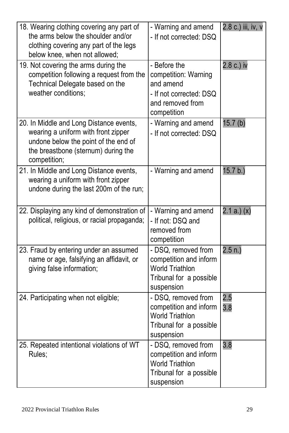| 18. Wearing clothing covering any part of<br>the arms below the shoulder and/or<br>clothing covering any part of the legs<br>below knee, when not allowed;                    | - Warning and amend<br>- If not corrected: DSQ                                                                   | 2.8 c.) iii, iv, v |
|-------------------------------------------------------------------------------------------------------------------------------------------------------------------------------|------------------------------------------------------------------------------------------------------------------|--------------------|
| 19. Not covering the arms during the<br>competition following a request from the<br>Technical Delegate based on the<br>weather conditions:                                    | - Before the<br>competition: Warning<br>and amend<br>- If not corrected: DSQ<br>and removed from<br>competition  | 2.8 c.) iv         |
| 20. In Middle and Long Distance events,<br>wearing a uniform with front zipper<br>undone below the point of the end of<br>the breastbone (sternum) during the<br>competition; | - Warning and amend<br>- If not corrected: DSQ                                                                   | 15.7(b)            |
| 21. In Middle and Long Distance events,<br>wearing a uniform with front zipper<br>undone during the last 200m of the run;                                                     | - Warning and amend                                                                                              | 15.7 b.)           |
| 22. Displaying any kind of demonstration of<br>political, religious, or racial propaganda;                                                                                    | - Warning and amend<br>- If not: DSQ and<br>removed from<br>competition                                          | 2.1 a. (x)         |
| 23. Fraud by entering under an assumed<br>name or age, falsifying an affidavit, or<br>giving false information;                                                               | - DSQ, removed from<br>competition and inform<br><b>World Triathlon</b><br>Tribunal for a possible<br>suspension | 2.5 n.             |
| 24. Participating when not eligible;                                                                                                                                          | - DSQ, removed from<br>competition and inform<br><b>World Triathlon</b><br>Tribunal for a possible<br>suspension | 2.5<br>3.8         |
| 25. Repeated intentional violations of WT<br>Rules:                                                                                                                           | - DSQ, removed from<br>competition and inform<br><b>World Triathlon</b><br>Tribunal for a possible<br>suspension | 3.8                |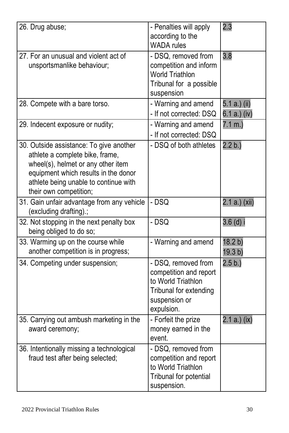| 26. Drug abuse;                                                                                                                                                                                                             | - Penalties will apply<br>according to the<br><b>WADA</b> rules                                                              | 2.3                          |
|-----------------------------------------------------------------------------------------------------------------------------------------------------------------------------------------------------------------------------|------------------------------------------------------------------------------------------------------------------------------|------------------------------|
| 27. For an unusual and violent act of<br>unsportsmanlike behaviour;                                                                                                                                                         | - DSQ, removed from<br>competition and inform<br><b>World Triathlon</b><br>Tribunal for a possible<br>suspension             | 3.8                          |
| 28. Compete with a bare torso.                                                                                                                                                                                              | - Warning and amend<br>- If not corrected: DSQ                                                                               | 5.1 a.) (ii)<br>6.1 a.) (iv) |
| 29. Indecent exposure or nudity;                                                                                                                                                                                            | - Warning and amend<br>- If not corrected: DSQ                                                                               | $7.1 m.$ )                   |
| 30. Outside assistance: To give another<br>athlete a complete bike, frame,<br>wheel(s), helmet or any other item<br>equipment which results in the donor<br>athlete being unable to continue with<br>their own competition; | - DSQ of both athletes                                                                                                       | 2.2 b.)                      |
| 31. Gain unfair advantage from any vehicle<br>(excluding drafting).;                                                                                                                                                        | $-$ DSO                                                                                                                      | 2.1 a.) (xii)                |
| 32. Not stopping in the next penalty box<br>being obliged to do so;                                                                                                                                                         | - DSQ                                                                                                                        | $3.6$ (d) i                  |
| 33. Warming up on the course while<br>another competition is in progress;                                                                                                                                                   | - Warning and amend                                                                                                          | 18.2 b)<br>19.3 b)           |
| 34. Competing under suspension;                                                                                                                                                                                             | - DSQ, removed from<br>competition and report<br>to World Triathlon<br>Tribunal for extending<br>suspension or<br>expulsion. | 2.5 b.)                      |
| 35. Carrying out ambush marketing in the<br>award ceremony;                                                                                                                                                                 | - Forfeit the prize<br>money earned in the<br>event.                                                                         | 2.1 a.) (ix)                 |
| 36. Intentionally missing a technological<br>fraud test after being selected;                                                                                                                                               | - DSQ, removed from<br>competition and report<br>to World Triathlon<br>Tribunal for potential<br>suspension.                 |                              |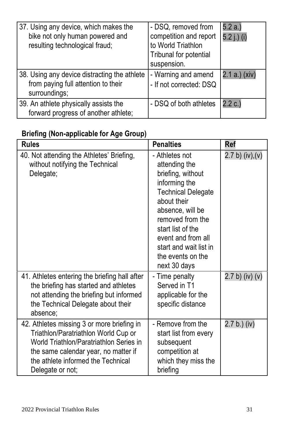| 37. Using any device, which makes the<br>bike not only human powered and<br>resulting technological fraud; | - DSQ, removed from<br>competition and report<br>to World Triathlon<br>Tribunal for potential<br>suspension. | 5.2a.<br>5.2 i.) (i) |
|------------------------------------------------------------------------------------------------------------|--------------------------------------------------------------------------------------------------------------|----------------------|
| 38. Using any device distracting the athlete<br>from paying full attention to their<br>surroundings;       | - Warning and amend<br>- If not corrected: DSQ                                                               | 2.1 a.) (xiv)        |
| 39. An athlete physically assists the<br>forward progress of another athlete;                              | - DSQ of both athletes                                                                                       | 2.2 c.)              |

#### **Briefing (Non-applicable for Age Group)**

| <b>Rules</b>                                                                                                                                                                                                                    | <b>Penalties</b>                                                                                                                                                                                                                                                    | Ref             |
|---------------------------------------------------------------------------------------------------------------------------------------------------------------------------------------------------------------------------------|---------------------------------------------------------------------------------------------------------------------------------------------------------------------------------------------------------------------------------------------------------------------|-----------------|
| 40. Not attending the Athletes' Briefing,<br>without notifying the Technical<br>Delegate;                                                                                                                                       | - Athletes not<br>attending the<br>briefing, without<br>informing the<br><b>Technical Delegate</b><br>about their<br>absence, will be<br>removed from the<br>start list of the<br>event and from all<br>start and wait list in<br>the events on the<br>next 30 days | 2.7 b) (iv),(v) |
| 41. Athletes entering the briefing hall after<br>the briefing has started and athletes<br>not attending the briefing but informed<br>the Technical Delegate about their<br>absence:                                             | - Time penalty<br>Served in T1<br>applicable for the<br>specific distance                                                                                                                                                                                           | 2.7 b) (iv) (v) |
| 42. Athletes missing 3 or more briefing in<br>Triathlon/Paratriathlon World Cup or<br>World Triathlon/Paratriathlon Series in<br>the same calendar year, no matter if<br>the athlete informed the Technical<br>Delegate or not; | - Remove from the<br>start list from every<br>subsequent<br>competition at<br>which they miss the<br>briefing                                                                                                                                                       | $2.7 b.)$ (iv)  |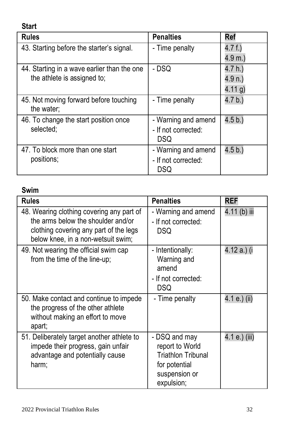**Start Rules Rules Ref** 43. Starting before the starter's signal. Fime penalty 4.7 f.) 4.9 m.) 44. Starting in a wave earlier than the one the athlete is assigned to;  $- DSQ$  4.7 h.) 4.9 n.) 4.11 g) 45. Not moving forward before touching the water;  $-$  Time penalty  $4.7 b$ . 46. To change the start position once selected; - Warning and amend - If not corrected: DSQ 4.5 b.) 47. To block more than one start - Warning and amend 4.5 b.)

#### **Swim**

positions;

| Rules                                                                                                                                                           | <b>Penalties</b>                                                                                              | REF           |
|-----------------------------------------------------------------------------------------------------------------------------------------------------------------|---------------------------------------------------------------------------------------------------------------|---------------|
| 48. Wearing clothing covering any part of<br>the arms below the shoulder and/or<br>clothing covering any part of the legs<br>below knee, in a non-wetsuit swim; | - Warning and amend<br>- If not corrected:<br>DSQ                                                             | 4.11 (b) iii  |
| 49. Not wearing the official swim cap<br>from the time of the line-up;                                                                                          | - Intentionally:<br>Warning and<br>amend<br>- If not corrected:<br>DSQ                                        | 4.12 a.) (i   |
| 50. Make contact and continue to impede<br>the progress of the other athlete<br>without making an effort to move<br>apart;                                      | - Time penalty                                                                                                | 4.1 e.) (ii)  |
| 51. Deliberately target another athlete to<br>impede their progress, gain unfair<br>advantage and potentially cause<br>harm;                                    | - DSQ and may<br>report to World<br><b>Triathlon Tribunal</b><br>for potential<br>suspension or<br>expulsion; | 4.1 e.) (iii) |

- If not corrected: DSQ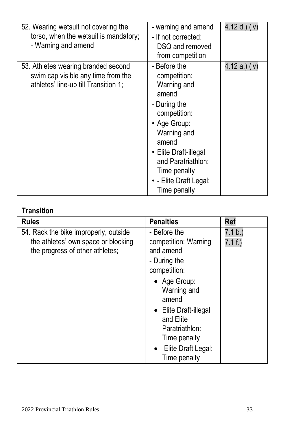| 52. Wearing wetsuit not covering the<br>torso, when the wetsuit is mandatory;<br>- Warning and amend              | - warning and amend<br>- If not corrected:<br>DSQ and removed<br>from competition                                                                                                                                                     | 4.12 d.) (iv) |
|-------------------------------------------------------------------------------------------------------------------|---------------------------------------------------------------------------------------------------------------------------------------------------------------------------------------------------------------------------------------|---------------|
| 53. Athletes wearing branded second<br>swim cap visible any time from the<br>athletes' line-up till Transition 1; | - Before the<br>competition:<br>Warning and<br>amend<br>- During the<br>competition:<br>• Age Group:<br>Warning and<br>amend<br>• Elite Draft-illegal<br>and Paratriathlon:<br>Time penalty<br>• - Elite Draft Legal:<br>Time penalty | 4.12 a.) (iv) |

#### **Transition**

| - Before the<br>54. Rack the bike improperly, outside<br>the athletes' own space or blocking<br>the progress of other athletes;<br>and amend | 7.1 b.)<br>competition: Warning                                                                                                                 |
|----------------------------------------------------------------------------------------------------------------------------------------------|-------------------------------------------------------------------------------------------------------------------------------------------------|
| - During the<br>competition:                                                                                                                 | 7.1 f.)<br>• Age Group:<br>Warning and<br>amend<br>• Elite Draft-illegal<br>and Elite<br>Paratriathlon:<br>Time penalty<br>• Elite Draft Legal: |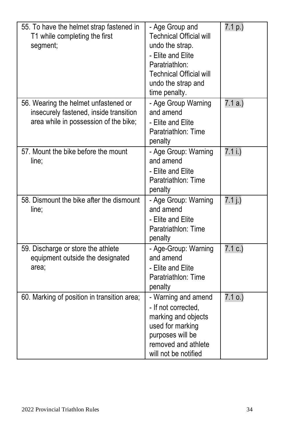| 55. To have the helmet strap fastened in<br>T1 while completing the first<br>segment;                                   | - Age Group and<br><b>Technical Official will</b><br>undo the strap.<br>- Elite and Elite<br>Paratriathlon:<br><b>Technical Official will</b><br>undo the strap and<br>time penalty. | 7.1 p.) |
|-------------------------------------------------------------------------------------------------------------------------|--------------------------------------------------------------------------------------------------------------------------------------------------------------------------------------|---------|
| 56. Wearing the helmet unfastened or<br>insecurely fastened, inside transition<br>area while in possession of the bike; | - Age Group Warning<br>and amend<br>- Elite and Elite<br>Paratriathlon: Time<br>penalty                                                                                              | 7.1a.)  |
| 57. Mount the bike before the mount<br>line:                                                                            | - Age Group: Warning<br>and amend<br>- Elite and Elite<br>Paratriathlon: Time<br>penalty                                                                                             | 7.1 i.) |
| 58. Dismount the bike after the dismount<br>line;                                                                       | - Age Group: Warning<br>and amend<br>- Elite and Elite<br>Paratriathlon: Time<br>penalty                                                                                             | 7.1j.)  |
| 59. Discharge or store the athlete<br>equipment outside the designated<br>area;                                         | - Age-Group: Warning<br>and amend<br>- Elite and Elite<br>Paratriathlon: Time<br>penalty                                                                                             | 7.1 c.  |
| 60. Marking of position in transition area;                                                                             | - Warning and amend<br>- If not corrected.<br>marking and objects<br>used for marking<br>purposes will be<br>removed and athlete<br>will not be notified                             | 7.1 o.) |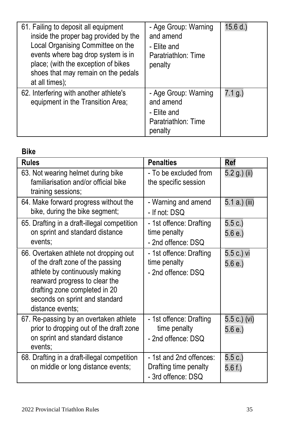| 61. Failing to deposit all equipment<br>inside the proper bag provided by the<br>Local Organising Committee on the<br>events where bag drop system is in<br>place; (with the exception of bikes<br>shoes that may remain on the pedals<br>at all times); | - Age Group: Warning<br>and amend<br>- Elite and<br>Paratriathlon: Time<br>penalty | 15.6 d. |
|----------------------------------------------------------------------------------------------------------------------------------------------------------------------------------------------------------------------------------------------------------|------------------------------------------------------------------------------------|---------|
| 62. Interfering with another athlete's<br>equipment in the Transition Area;                                                                                                                                                                              | - Age Group: Warning<br>and amend<br>- Elite and<br>Paratriathlon: Time<br>penalty | 7.1 q.) |

#### **Bike**

| <b>Rules</b>                                                                                                                                                                                                                          | <b>Penalties</b>                                                       | Ref                   |
|---------------------------------------------------------------------------------------------------------------------------------------------------------------------------------------------------------------------------------------|------------------------------------------------------------------------|-----------------------|
| 63. Not wearing helmet during bike<br>familiarisation and/or official bike<br>training sessions;                                                                                                                                      | - To be excluded from<br>the specific session                          | 5.2 g.) (ii)          |
| 64. Make forward progress without the<br>bike, during the bike segment;                                                                                                                                                               | - Warning and amend<br>- If not: DSQ                                   | 5.1 a.) (iii)         |
| 65. Drafting in a draft-illegal competition<br>on sprint and standard distance<br>events:                                                                                                                                             | - 1st offence: Drafting<br>time penalty<br>- 2nd offence: DSQ          | 5.5 c.)<br>5.6 e.     |
| 66. Overtaken athlete not dropping out<br>of the draft zone of the passing<br>athlete by continuously making<br>rearward progress to clear the<br>drafting zone completed in 20<br>seconds on sprint and standard<br>distance events: | - 1st offence: Drafting<br>time penalty<br>- 2nd offence: DSQ          | 5.5 c.) vi<br>5.6 e.  |
| 67. Re-passing by an overtaken athlete<br>prior to dropping out of the draft zone<br>on sprint and standard distance<br>events;                                                                                                       | - 1st offence: Drafting<br>time penalty<br>- 2nd offence: DSQ          | 5.5 c.) (vi)<br>5.6e. |
| 68. Drafting in a draft-illegal competition<br>on middle or long distance events;                                                                                                                                                     | - 1st and 2nd offences:<br>Drafting time penalty<br>- 3rd offence: DSQ | 5.5c.)<br>5.6f.)      |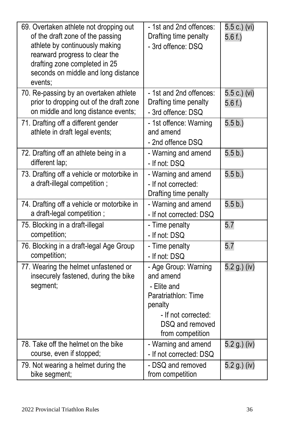| 69. Overtaken athlete not dropping out<br>of the draft zone of the passing<br>athlete by continuously making<br>rearward progress to clear the<br>drafting zone completed in 25<br>seconds on middle and long distance<br>events: | - 1st and 2nd offences:<br>Drafting time penalty<br>- 3rd offence: DSQ                                                                           | 5.5 c.) (vi)<br>5.6f.) |
|-----------------------------------------------------------------------------------------------------------------------------------------------------------------------------------------------------------------------------------|--------------------------------------------------------------------------------------------------------------------------------------------------|------------------------|
| 70. Re-passing by an overtaken athlete<br>prior to dropping out of the draft zone<br>on middle and long distance events;                                                                                                          | - 1st and 2nd offences:<br>Drafting time penalty<br>- 3rd offence: DSQ                                                                           | 5.5 c.) (vi)<br>5.6f.) |
| 71. Drafting off a different gender<br>athlete in draft legal events;                                                                                                                                                             | - 1st offence: Warning<br>and amend<br>- 2nd offence DSQ                                                                                         | 5.5 b.)                |
| 72. Drafting off an athlete being in a<br>different lap;                                                                                                                                                                          | - Warning and amend<br>- If not: DSQ                                                                                                             | 5.5 b.                 |
| 73. Drafting off a vehicle or motorbike in<br>a draft-illegal competition;                                                                                                                                                        | - Warning and amend<br>- If not corrected:<br>Drafting time penalty                                                                              | 5.5 b.)                |
| 74. Drafting off a vehicle or motorbike in<br>a draft-legal competition;                                                                                                                                                          | - Warning and amend<br>- If not corrected: DSQ                                                                                                   | 5.5 b.)                |
| 75. Blocking in a draft-illegal<br>competition;                                                                                                                                                                                   | - Time penalty<br>- If not: DSQ                                                                                                                  | 5.7                    |
| 76. Blocking in a draft-legal Age Group<br>competition;                                                                                                                                                                           | - Time penalty<br>- If not: DSQ                                                                                                                  | 5.7                    |
| 77. Wearing the helmet unfastened or<br>insecurely fastened, during the bike<br>segment;                                                                                                                                          | - Age Group: Warning<br>and amend<br>- Elite and<br>Paratriathlon: Time<br>penalty<br>- If not corrected:<br>DSQ and removed<br>from competition | 5.2 g.) (iv)           |
| 78. Take off the helmet on the bike<br>course, even if stopped;                                                                                                                                                                   | - Warning and amend<br>- If not corrected: DSQ                                                                                                   | 5.2 g.) (iv)           |
| 79. Not wearing a helmet during the<br>bike segment;                                                                                                                                                                              | - DSQ and removed<br>from competition                                                                                                            | 5.2 g.) (iv)           |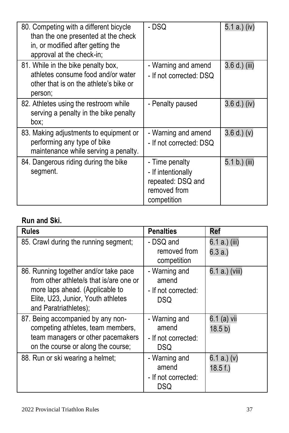| 80. Competing with a different bicycle<br>than the one presented at the check<br>in, or modified after getting the<br>approval at the check-in; | - DSQ                                                                                    | 5.1 a.) (iv)  |
|-------------------------------------------------------------------------------------------------------------------------------------------------|------------------------------------------------------------------------------------------|---------------|
| 81. While in the bike penalty box,<br>athletes consume food and/or water<br>other that is on the athlete's bike or<br>person;                   | - Warning and amend<br>- If not corrected: DSQ                                           | 3.6 d.) (iii) |
| 82. Athletes using the restroom while<br>serving a penalty in the bike penalty<br>box:                                                          | - Penalty paused                                                                         | 3.6 d.) (iv)  |
| 83. Making adjustments to equipment or<br>performing any type of bike<br>maintenance while serving a penalty.                                   | - Warning and amend<br>- If not corrected: DSQ                                           | 3.6 d. (v)    |
| 84. Dangerous riding during the bike<br>segment.                                                                                                | - Time penalty<br>- If intentionally<br>repeated: DSQ and<br>removed from<br>competition | 5.1 b.) (iii) |

#### **Run and Ski.**

| <b>Rules</b>                                                                                                                                                                       | <b>Penalties</b>                                     | Ref                              |
|------------------------------------------------------------------------------------------------------------------------------------------------------------------------------------|------------------------------------------------------|----------------------------------|
| 85. Crawl during the running segment;                                                                                                                                              | - DSQ and<br>removed from<br>competition             | 6.1 a.) (iii)<br>6.3 a.)         |
| 86. Running together and/or take pace<br>from other athlete/s that is/are one or<br>more laps ahead. (Applicable to<br>Elite, U23, Junior, Youth athletes<br>and Paratriathletes); | - Warning and<br>amend<br>- If not corrected:<br>DSQ | 6.1 a.) (viii)                   |
| 87. Being accompanied by any non-<br>competing athletes, team members,<br>team managers or other pacemakers<br>on the course or along the course:                                  | - Warning and<br>amend<br>- If not corrected:<br>DSQ | 6.1 (a) vii<br>18.5 <sub>b</sub> |
| 88. Run or ski wearing a helmet;                                                                                                                                                   | - Warning and<br>amend<br>- If not corrected:<br>DSQ | 6.1 a.) (v)<br>18.5 f.           |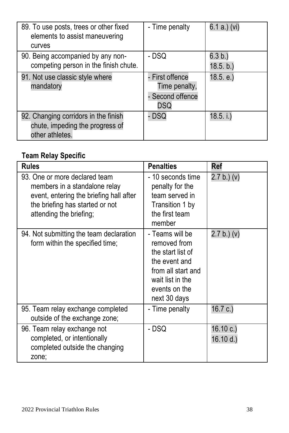| 89. To use posts, trees or other fixed<br>elements to assist maneuvering<br>curves         | - Time penalty                                              | 6.1 a.) (vi)         |
|--------------------------------------------------------------------------------------------|-------------------------------------------------------------|----------------------|
| 90. Being accompanied by any non-<br>competing person in the finish chute.                 | - DSQ                                                       | 6.3 b.)<br>18.5. b.) |
| 91. Not use classic style where<br>mandatory                                               | - First offence<br>Time penalty,<br>- Second offence<br>DSQ | 18.5. e.)            |
| 92. Changing corridors in the finish<br>chute, impeding the progress of<br>other athletes. | <b>DSQ</b>                                                  | 18.5. i.)            |

#### **Team Relay Specific**

| <b>Rules</b>                                                                                                                                                            | <b>Penalties</b>                                                                                                                                 | Ref                   |
|-------------------------------------------------------------------------------------------------------------------------------------------------------------------------|--------------------------------------------------------------------------------------------------------------------------------------------------|-----------------------|
| 93. One or more declared team<br>members in a standalone relay<br>event, entering the briefing hall after<br>the briefing has started or not<br>attending the briefing; | - 10 seconds time<br>penalty for the<br>team served in<br>Transition 1 by<br>the first team<br>member                                            | 2.7 b.) (v)           |
| 94. Not submitting the team declaration<br>form within the specified time;                                                                                              | - Teams will be<br>removed from<br>the start list of<br>the event and<br>from all start and<br>wait list in the<br>events on the<br>next 30 days | 2.7 b.) (v)           |
| 95. Team relay exchange completed<br>outside of the exchange zone;                                                                                                      | - Time penalty                                                                                                                                   | 16.7 c.               |
| 96. Team relay exchange not<br>completed, or intentionally<br>completed outside the changing<br>zone;                                                                   | - DSQ                                                                                                                                            | 16.10 c.)<br>16.10 d. |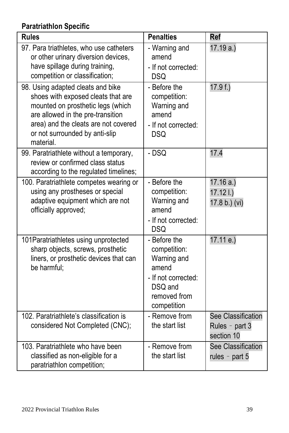### **Paratriathlon Specific**

| Rules                                                                                                                                                                                                                                    | <b>Penalties</b>                                                                                                      | Ref                                                |
|------------------------------------------------------------------------------------------------------------------------------------------------------------------------------------------------------------------------------------------|-----------------------------------------------------------------------------------------------------------------------|----------------------------------------------------|
| 97. Para triathletes, who use catheters<br>or other urinary diversion devices,<br>have spillage during training,<br>competition or classification;                                                                                       | - Warning and<br>amend<br>- If not corrected:<br><b>DSQ</b>                                                           | 17.19a.                                            |
| 98. Using adapted cleats and bike<br>shoes with exposed cleats that are<br>mounted on prosthetic legs (which<br>are allowed in the pre-transition<br>area) and the cleats are not covered<br>or not surrounded by anti-slip<br>material. | - Before the<br>competition:<br>Warning and<br>amend<br>- If not corrected:<br><b>DSQ</b>                             | 17.9f.)                                            |
| 99. Paratriathlete without a temporary,<br>review or confirmed class status<br>according to the regulated timelines;                                                                                                                     | - DSQ                                                                                                                 | 17.4                                               |
| 100. Paratriathlete competes wearing or<br>using any prostheses or special<br>adaptive equipment which are not<br>officially approved;                                                                                                   | - Before the<br>competition:<br>Warning and<br>amend<br>- If not corrected:<br><b>DSQ</b>                             | 17.16a.)<br>$17.12$ I.)<br>17.8 b.) (vi)           |
| 101 Paratriathletes using unprotected<br>sharp objects, screws, prosthetic<br>liners, or prosthetic devices that can<br>be harmful:                                                                                                      | - Before the<br>competition:<br>Warning and<br>amend<br>- If not corrected:<br>DSQ and<br>removed from<br>competition | 17.11 e.)                                          |
| 102. Paratriathlete's classification is<br>considered Not Completed (CNC);                                                                                                                                                               | - Remove from<br>the start list                                                                                       | See Classification<br>Rules - part 3<br>section 10 |
| 103. Paratriathlete who have been<br>classified as non-eligible for a<br>paratriathlon competition;                                                                                                                                      | - Remove from<br>the start list                                                                                       | See Classification<br>rules - part $5$             |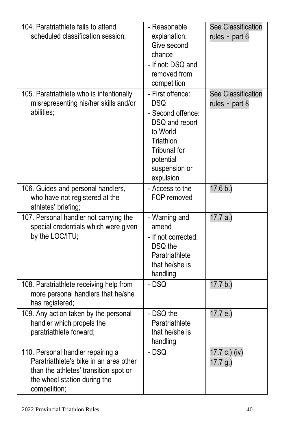| 104. Paratriathlete fails to attend<br>scheduled classification session:                                                                                             | - Reasonable<br>explanation:<br>Give second<br>chance<br>- If not: DSQ and<br>removed from<br>competition                                                 | See Classification<br>rules - part $6$ |
|----------------------------------------------------------------------------------------------------------------------------------------------------------------------|-----------------------------------------------------------------------------------------------------------------------------------------------------------|----------------------------------------|
| 105. Paratriathlete who is intentionally<br>misrepresenting his/her skills and/or<br>abilities:                                                                      | - First offence:<br><b>DSQ</b><br>- Second offence:<br>DSQ and report<br>to World<br>Triathlon<br>Tribunal for<br>potential<br>suspension or<br>expulsion | See Classification<br>rules - part 8   |
| 106. Guides and personal handlers,<br>who have not registered at the<br>athletes' briefing;                                                                          | - Access to the<br>FOP removed                                                                                                                            | 17.6 b.)                               |
| 107. Personal handler not carrying the<br>special credentials which were given<br>by the LOC/ITU;                                                                    | - Warning and<br>amend<br>- If not corrected:<br>DSQ the<br>Paratriathlete<br>that he/she is<br>handling                                                  | 17.7 a.)                               |
| 108. Paratriathlete receiving help from<br>more personal handlers that he/she<br>has registered;                                                                     | - DSQ                                                                                                                                                     | 17.7 b.)                               |
| 109. Any action taken by the personal<br>handler which propels the<br>paratriathlete forward;                                                                        | - DSQ the<br>Paratriathlete<br>that he/she is<br>handling                                                                                                 | 17.7 e.)                               |
| 110. Personal handler repairing a<br>Paratriathlete's bike in an area other<br>than the athletes' transition spot or<br>the wheel station during the<br>competition; | - DSQ                                                                                                                                                     | 17.7 c.) (iv)<br>17.7 q.)              |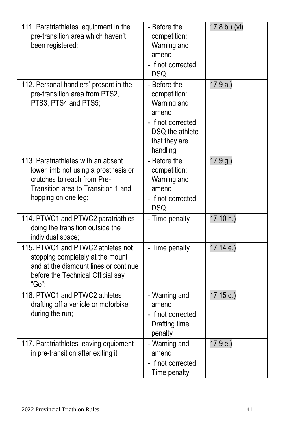| 111. Paratriathletes' equipment in the<br>pre-transition area which haven't<br>been registered;                                                                          | - Before the<br>competition:<br>Warning and<br>amend<br>- If not corrected:<br><b>DSQ</b>                                   | 17.8 b.) (vi) |
|--------------------------------------------------------------------------------------------------------------------------------------------------------------------------|-----------------------------------------------------------------------------------------------------------------------------|---------------|
| 112. Personal handlers' present in the<br>pre-transition area from PTS2,<br>PTS3, PTS4 and PTS5;                                                                         | - Before the<br>competition:<br>Warning and<br>amend<br>- If not corrected:<br>DSO the athlete<br>that they are<br>handling | 17.9a.)       |
| 113. Paratriathletes with an absent<br>lower limb not using a prosthesis or<br>crutches to reach from Pre-<br>Transition area to Transition 1 and<br>hopping on one leg; | - Before the<br>competition:<br>Warning and<br>amend<br>- If not corrected:<br><b>DSQ</b>                                   | 17.9 g.)      |
| 114. PTWC1 and PTWC2 paratriathles<br>doing the transition outside the<br>individual space;                                                                              | - Time penalty                                                                                                              | 17.10 h.)     |
| 115. PTWC1 and PTWC2 athletes not<br>stopping completely at the mount<br>and at the dismount lines or continue<br>before the Technical Official say<br>"Go":             | - Time penalty                                                                                                              | 17.14 e.)     |
| 116. PTWC1 and PTWC2 athletes<br>drafting off a vehicle or motorbike<br>during the run;                                                                                  | - Warning and<br>amend<br>- If not corrected:<br>Drafting time<br>penalty                                                   | 17.15 d.)     |
| 117. Paratriathletes leaving equipment<br>in pre-transition after exiting it;                                                                                            | - Warning and<br>amend<br>- If not corrected:<br>Time penalty                                                               | 17.9 e.)      |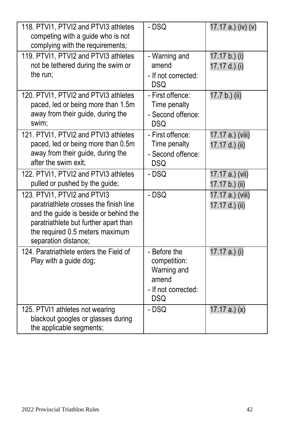| 118. PTVI1, PTVI2 and PTVI3 athletes<br>competing with a guide who is not<br>complying with the requirements;                                                                                                      | - DSQ                                                                                     | 17.17 a.) (iv) (v)                 |
|--------------------------------------------------------------------------------------------------------------------------------------------------------------------------------------------------------------------|-------------------------------------------------------------------------------------------|------------------------------------|
| 119. PTVI1, PTVI2 and PTVI3 athletes<br>not be tethered during the swim or<br>the run:                                                                                                                             | - Warning and<br>amend<br>- If not corrected:<br><b>DSQ</b>                               | 17.17 b.) (i)<br>17.17 d.) (i)     |
| 120. PTVI1, PTVI2 and PTVI3 athletes<br>paced, led or being more than 1.5m<br>away from their guide, during the<br>swim:                                                                                           | - First offence:<br>Time penalty<br>- Second offence:<br>DSO                              | 17.7 b.) (ii)                      |
| 121. PTVI1, PTVI2 and PTVI3 athletes<br>paced, led or being more than 0.5m<br>away from their guide, during the<br>after the swim exit:                                                                            | - First offence:<br>Time penalty<br>- Second offence:<br><b>DSQ</b>                       | 17.17 a.) (viii)<br>17.17 d.) (ii) |
| 122. PTVI1, PTVI2 and PTVI3 athletes<br>pulled or pushed by the guide;                                                                                                                                             | - DSQ                                                                                     | 17.17 a.) (vii)<br>17.17 b.) (ii)  |
| 123. PTVI1. PTVI2 and PTVI3<br>paratriathlete crosses the finish line<br>and the quide is beside or behind the<br>paratriathlete but further apart than<br>the required 0.5 meters maximum<br>separation distance; | - DSQ                                                                                     | 17.17 a.) (viii)<br>17.17 d.) (ii) |
| 124 Paratriathlete enters the Field of<br>Play with a guide dog;                                                                                                                                                   | - Before the<br>competition:<br>Warning and<br>amend<br>- If not corrected:<br><b>DSQ</b> | 17.17 a.) (i)                      |
| 125. PTVI1 athletes not wearing<br>blackout googles or glasses during<br>the applicable segments;                                                                                                                  | - DSQ                                                                                     | 17.17 a.) $(x)$                    |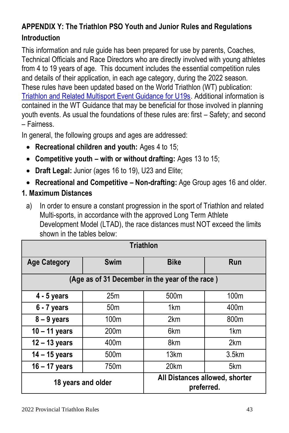#### **APPENDIX Y: The Triathlon PSO Youth and Junior Rules and Regulations Introduction**

This information and rule guide has been prepared for use by parents, Coaches, Technical Officials and Race Directors who are directly involved with young athletes from 4 to 19 years of age. This document includes the essential competition rules and details of their application, in each age category, during the 2022 season. These rules have been updated based on the World Triathlon (WT) publication: [Triathlon and Related Multisport Event Guidance for U19s.](http://www.triathlon.org/uploads/docs/U19_Digital_v1.pdf) Additional information is contained in the WT Guidance that may be beneficial for those involved in planning youth events. As usual the foundations of these rules are: first – Safety; and second – Fairness.

In general, the following groups and ages are addressed:

- **Recreational children and youth:** Ages 4 to 15;
- **Competitive youth – with or without drafting:** Ages 13 to 15;
- **Draft Legal:** Junior (ages 16 to 19), U23 and Elite;
- **Recreational and Competitive – Non-drafting:** Age Group ages 16 and older.
- **1. Maximum Distances** 
	- a) In order to ensure a constant progression in the sport of Triathlon and related Multi-sports, in accordance with the approved Long Term Athlete Development Model (LTAD), the race distances must NOT exceed the limits shown in the tables below:

| <b>Triathlon</b>                                |                  |                         |                                |  |  |  |  |
|-------------------------------------------------|------------------|-------------------------|--------------------------------|--|--|--|--|
| <b>Age Category</b>                             | Swim             | <b>Bike</b>             | Run                            |  |  |  |  |
| (Age as of 31 December in the year of the race) |                  |                         |                                |  |  |  |  |
| $4 - 5$ years                                   | 25m              | 500m                    | 100 <sub>m</sub>               |  |  |  |  |
| $6 - 7$ years                                   | 50 <sub>m</sub>  | 1 <sub>km</sub>         | 400m                           |  |  |  |  |
| $8 - 9$ years                                   | 100 <sub>m</sub> | 2km                     | 800m                           |  |  |  |  |
| $10 - 11$ years                                 | 200 <sub>m</sub> | 6 <sub>km</sub>         | 1 <sub>km</sub>                |  |  |  |  |
| $12 - 13$ years                                 | 400m             | 8km                     | 2km                            |  |  |  |  |
| $14 - 15$ years                                 | 500 <sub>m</sub> | 13 <sub>km</sub>        | 3.5km                          |  |  |  |  |
| $16 - 17$ years                                 | 750m             | 20 <sub>km</sub><br>5km |                                |  |  |  |  |
| 18 years and older                              |                  | preferred.              | All Distances allowed, shorter |  |  |  |  |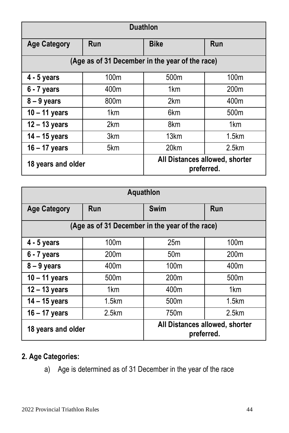| <b>Duathlon</b>     |                                                 |                                              |                  |  |  |  |  |
|---------------------|-------------------------------------------------|----------------------------------------------|------------------|--|--|--|--|
| <b>Age Category</b> | Run                                             | <b>Bike</b>                                  | Run              |  |  |  |  |
|                     | (Age as of 31 December in the year of the race) |                                              |                  |  |  |  |  |
| $4 - 5$ years       | 100m                                            | 500 <sub>m</sub>                             | 100 <sub>m</sub> |  |  |  |  |
| $6 - 7$ years       | 400m                                            | 1 <sub>km</sub>                              | 200 <sub>m</sub> |  |  |  |  |
| $8 - 9$ years       | 800m                                            | 2 <sub>km</sub>                              | 400m             |  |  |  |  |
| $10 - 11$ years     | 1 <sub>km</sub>                                 | 6 <sub>km</sub>                              | 500 <sub>m</sub> |  |  |  |  |
| $12 - 13$ years     | 2km                                             | 8km                                          | 1 <sub>km</sub>  |  |  |  |  |
| $14 - 15$ years     | 3 <sub>km</sub>                                 | 13 <sub>km</sub>                             | 1.5km            |  |  |  |  |
| $16 - 17$ years     | 5km                                             | 20 <sub>km</sub><br>2.5km                    |                  |  |  |  |  |
| 18 years and older  |                                                 | All Distances allowed, shorter<br>preferred. |                  |  |  |  |  |

| Aquathlon                                       |                 |                                              |                  |  |  |  |  |
|-------------------------------------------------|-----------------|----------------------------------------------|------------------|--|--|--|--|
| <b>Age Category</b>                             | Run             | Swim                                         | Run              |  |  |  |  |
| (Age as of 31 December in the year of the race) |                 |                                              |                  |  |  |  |  |
| $4 - 5$ years                                   | 100m            | 25m                                          | 100 <sub>m</sub> |  |  |  |  |
| 200 <sub>m</sub><br>$6 - 7$ years               |                 | 50 <sub>m</sub>                              | 200m             |  |  |  |  |
| $8 - 9$ years                                   | 400m            | 100 <sub>m</sub>                             | 400m             |  |  |  |  |
| $10 - 11$ years                                 | 500m            | 200 <sub>m</sub>                             | 500 <sub>m</sub> |  |  |  |  |
| $12 - 13$ years                                 | 1 <sub>km</sub> | 400m<br>1 <sub>km</sub>                      |                  |  |  |  |  |
| $14 - 15$ years                                 | 1.5km           | 500 <sub>m</sub><br>1.5km                    |                  |  |  |  |  |
| $16 - 17$ years                                 | 2.5km           | 750m<br>2.5km                                |                  |  |  |  |  |
| 18 years and older                              |                 | All Distances allowed, shorter<br>preferred. |                  |  |  |  |  |

#### **2. Age Categories:**

a) Age is determined as of 31 December in the year of the race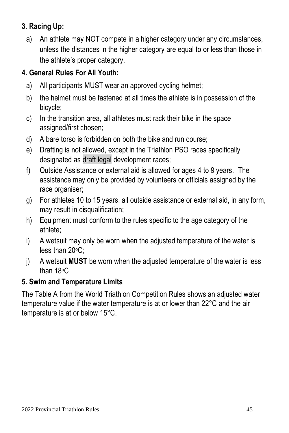#### **3. Racing Up:**

a) An athlete may NOT compete in a higher category under any circumstances, unless the distances in the higher category are equal to or less than those in the athlete's proper category.

#### **4. General Rules For All Youth:**

- a) All participants MUST wear an approved cycling helmet;
- b) the helmet must be fastened at all times the athlete is in possession of the bicycle;
- c) In the transition area, all athletes must rack their bike in the space assigned/first chosen;
- d) A bare torso is forbidden on both the bike and run course;
- e) Drafting is not allowed, except in the Triathlon PSO races specifically designated as draft legal development races;
- f) Outside Assistance or external aid is allowed for ages 4 to 9 years. The assistance may only be provided by volunteers or officials assigned by the race organiser;
- g) For athletes 10 to 15 years, all outside assistance or external aid, in any form, may result in disqualification;
- h) Equipment must conform to the rules specific to the age category of the athlete;
- i) A wetsuit may only be worn when the adjusted temperature of the water is less than 20°C;
- j) A wetsuit **MUST** be worn when the adjusted temperature of the water is less than 18oC

#### **5. Swim and Temperature Limits**

The Table A from the World Triathlon Competition Rules shows an adjusted water temperature value if the water temperature is at or lower than 22°C and the air temperature is at or below 15°C.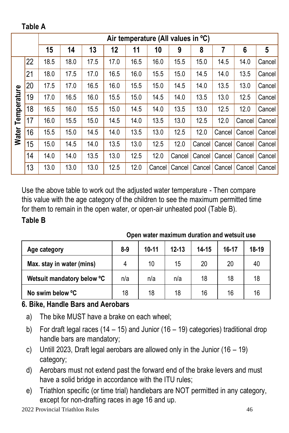**Table A**

|             |    | Air temperature (All values in °C) |      |      |      |      |        |        |        |        |        |        |
|-------------|----|------------------------------------|------|------|------|------|--------|--------|--------|--------|--------|--------|
|             |    | 15                                 | 14   | 13   | 12   | 11   | 10     | 9      | 8      | 7      | 6      | 5      |
|             | 22 | 18.5                               | 18.0 | 17.5 | 17.0 | 16.5 | 16.0   | 15.5   | 15.0   | 14.5   | 14.0   | Cancel |
|             | 21 | 18.0                               | 17.5 | 17.0 | 16.5 | 16.0 | 15.5   | 15.0   | 14.5   | 14.0   | 13.5   | Cancel |
|             | 20 | 17.5                               | 17.0 | 16.5 | 16.0 | 15.5 | 15.0   | 14.5   | 14.0   | 13.5   | 13.0   | Cancel |
| Temperature | 19 | 17.0                               | 16.5 | 16.0 | 15.5 | 15.0 | 14.5   | 14.0   | 13.5   | 13.0   | 12.5   | Cancel |
|             | 18 | 16.5                               | 16.0 | 15.5 | 15.0 | 14.5 | 14.0   | 13.5   | 13.0   | 12.5   | 12.0   | Cancel |
|             | 17 | 16.0                               | 15.5 | 15.0 | 14.5 | 14.0 | 13.5   | 13.0   | 12.5   | 12.0   | Cancel | Cancel |
| Water       | 16 | 15.5                               | 15.0 | 14.5 | 14.0 | 13.5 | 13.0   | 12.5   | 12.0   | Cancel | Cancel | Cancel |
|             | 15 | 15.0                               | 14.5 | 14.0 | 13.5 | 13.0 | 12.5   | 12.0   | Cancel | Cancel | Cancel | Cancel |
|             | 14 | 14.0                               | 14.0 | 13.5 | 13.0 | 12.5 | 12.0   | Cancel | Cancel | Cancel | Cancel | Cancel |
|             | 13 | 13.0                               | 13.0 | 13.0 | 12.5 | 12.0 | Cancel | Cancel | Cancel | Cancel | Cancel | Cancel |

Use the above table to work out the adjusted water temperature - Then compare this value with the age category of the children to see the maximum permitted time for them to remain in the open water, or open-air unheated pool (Table B). **Table B**

| Age category               | $8-9$ | 10-11 | $12 - 13$ | 14-15 | 16-17 | 18-19 |
|----------------------------|-------|-------|-----------|-------|-------|-------|
| Max. stay in water (mins)  |       | 10    | 15        | 20    | 20    | 40    |
| Wetsuit mandatory below °C | n/a   | n/a   | n/a       | 18    | 18    | 18    |
| No swim below °C           | 18    | 18    | 18        | 16    | 16    | 16    |

**Open water maximum duration and wetsuit use**

#### **6. Bike, Handle Bars and Aerobars**

- a) The bike MUST have a brake on each wheel;
- b) For draft legal races (14 15) and Junior (16 19) categories) traditional drop handle bars are mandatory;
- c) Untill 2023, Draft legal aerobars are allowed only in the Junior (16 19) category;
- d) Aerobars must not extend past the forward end of the brake levers and must have a solid bridge in accordance with the ITU rules;
- e) Triathlon specific (or time trial) handlebars are NOT permitted in any category, except for non-drafting races in age 16 and up.

2022 Provincial Triathlon Rules 46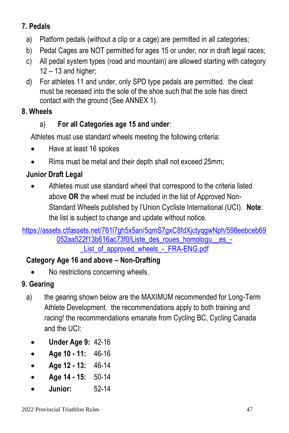#### **7. Pedals**

- a) Platform pedals (without a clip or a cage) are permitted in all categories;
- b) Pedal Cages are NOT permitted for ages 15 or under, nor in draft legal races;
- c) All pedal system types (road and mountain) are allowed starting with category  $12 - 13$  and higher;
- d) For athletes 11 and under, only SPD type pedals are permitted. the cleat must be recessed into the sole of the shoe such that the sole has direct contact with the ground (See ANNEX 1).

#### **8. Wheels**

#### a) **For all Categories age 15 and under**:

Athletes must use standard wheels meeting the following criteria:

- Have at least 16 spokes
- Rims must be metal and their depth shall not exceed 25mm;

#### **Junior Draft Legal**

• Athletes must use standard wheel that correspond to the criteria listed above **OR** the wheel must be included in the list of Approved Non-Standard Wheels published by l'Union Cycliste International (UCI). **Note**: the list is subject to change and update without notice.

#### https://assets.ctfassets.net/761l7gh5x5an/5gmS7gxC8fdXictyggwNph/598eebceb69 [052aa522f13b616ac73f0/Liste\\_des\\_roues\\_homologu\\_\\_es\\_-](https://assets.ctfassets.net/761l7gh5x5an/5qmS7gxC8fdXjctyqgwNph/598eebceb69052aa522f13b616ac73f0/Liste_des_roues_homologu__es_-_List_of_approved_wheels_-_FRA-ENG.pdf) List\_of\_approved\_wheels\_-\_FRA-ENG.pdf

#### **Category Age 16 and above – Non-Drafting**

• No restrictions concerning wheels.

#### **9. Gearing**

- a) the gearing shown below are the MAXIMUM recommended for Long-Term Athlete Development. the recommendations apply to both training and racing! the recommendations emanate from Cycling BC, Cycling Canada and the UCI:
	- **Under Age 9:** 42-16
	- **Age 10 - 11:** 46-16
	- **Age 12 - 13:** 46-14
	- **Age 14 - 15:** 50-14
	- **Junior:** 52-14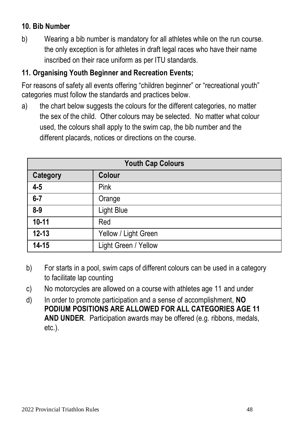#### **10. Bib Number**

b) Wearing a bib number is mandatory for all athletes while on the run course. the only exception is for athletes in draft legal races who have their name inscribed on their race uniform as per ITU standards.

#### **11. Organising Youth Beginner and Recreation Events;**

For reasons of safety all events offering "children beginner" or "recreational youth" categories must follow the standards and practices below.

a) the chart below suggests the colours for the different categories, no matter the sex of the child. Other colours may be selected. No matter what colour used, the colours shall apply to the swim cap, the bib number and the different placards, notices or directions on the course.

| <b>Youth Cap Colours</b> |                      |  |
|--------------------------|----------------------|--|
| Category                 | Colour               |  |
| $4-5$                    | Pink                 |  |
| $6 - 7$                  | Orange               |  |
| $8-9$                    | Light Blue           |  |
| $10 - 11$                | Red                  |  |
| $12 - 13$                | Yellow / Light Green |  |
| 14-15                    | Light Green / Yellow |  |

- b) For starts in a pool, swim caps of different colours can be used in a category to facilitate lap counting
- c) No motorcycles are allowed on a course with athletes age 11 and under
- d) In order to promote participation and a sense of accomplishment, **NO PODIUM POSITIONS ARE ALLOWED FOR ALL CATEGORIES AGE 11 AND UNDER**. Participation awards may be offered (e.g. ribbons, medals, etc.).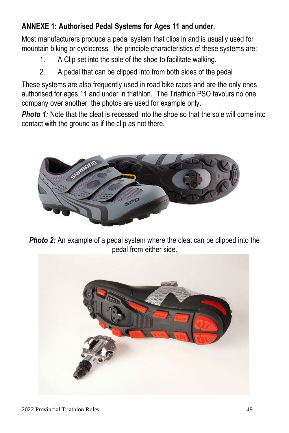#### **ANNEXE 1: Authorised Pedal Systems for Ages 11 and under.**

Most manufacturers produce a pedal system that clips in and is usually used for mountain biking or cyclocross. the principle characteristics of these systems are:

- 1. A Clip set into the sole of the shoe to facilitate walking.
- 2. A pedal that can be clipped into from both sides of the pedal

These systems are also frequently used in road bike races and are the only ones authorised for ages 11 and under in triathlon. The Triathlon PSO favours no one company over another, the photos are used for example only.

*Photo 1:* Note that the cleat is recessed into the shoe so that the sole will come into contact with the ground as if the clip as not there.



**Photo 2:** An example of a pedal system where the cleat can be clipped into the pedal from either side.

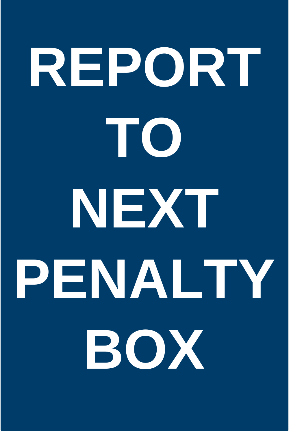# **REPORT TO NEXT PENALTY BOX**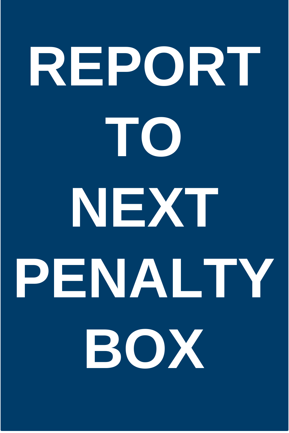# **REPORT TO NEXT PENALTY BOX**